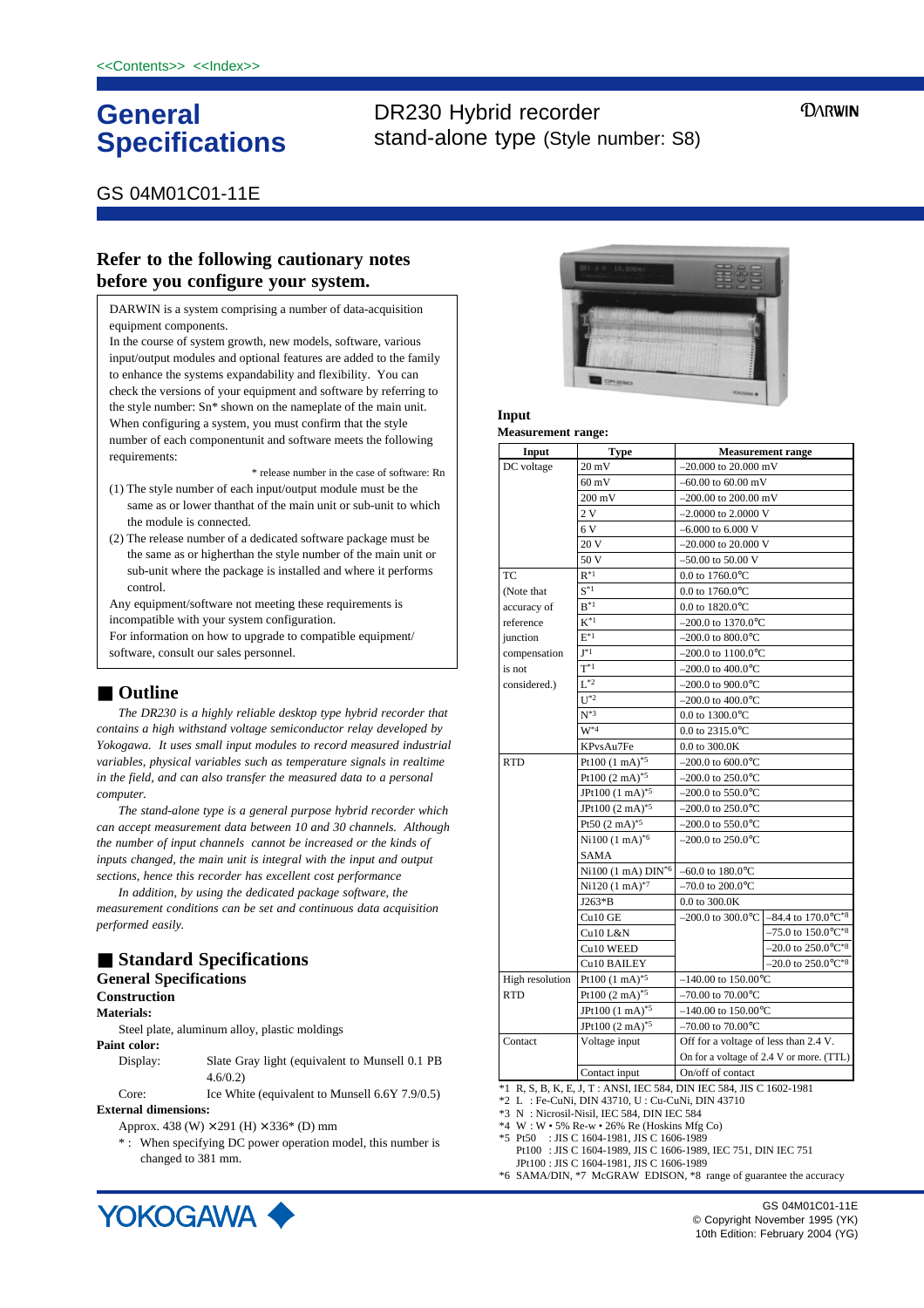# **General Specifications**

# DR230 Hybrid recorder stand-alone type (Style number: S8)

**DARWIN** 

## GS 04M01C01-11E

## **Refer to the following cautionary notes before you configure your system.**

DARWIN is a system comprising a number of data-acquisition equipment components.

In the course of system growth, new models, software, various input/output modules and optional features are added to the family to enhance the systems expandability and flexibility. You can check the versions of your equipment and software by referring to the style number: Sn\* shown on the nameplate of the main unit. When configuring a system, you must confirm that the style number of each componentunit and software meets the following requirements:

\* release number in the case of software: Rn

- (1) The style number of each input/output module must be the same as or lower thanthat of the main unit or sub-unit to which the module is connected.
- (2) The release number of a dedicated software package must be the same as or higherthan the style number of the main unit or sub-unit where the package is installed and where it performs control.

Any equipment/software not meeting these requirements is incompatible with your system configuration.

For information on how to upgrade to compatible equipment/ software, consult our sales personnel.

## ■ **Outline**

*The DR230 is a highly reliable desktop type hybrid recorder that contains a high withstand voltage semiconductor relay developed by Yokogawa. It uses small input modules to record measured industrial variables, physical variables such as temperature signals in realtime in the field, and can also transfer the measured data to a personal computer.*

*The stand-alone type is a general purpose hybrid recorder which can accept measurement data between 10 and 30 channels. Although the number of input channels cannot be increased or the kinds of inputs changed, the main unit is integral with the input and output sections, hence this recorder has excellent cost performance*

*In addition, by using the dedicated package software, the measurement conditions can be set and continuous data acquisition performed easily.*

# ■ **Standard Specifications**

## **General Specifications**

### **Construction Materials:**

Steel plate, aluminum alloy, plastic moldings

**Paint color:**

Display: Slate Gray light (equivalent to Munsell 0.1 PB 4.6/0.2)

Core: Ice White (equivalent to Munsell 6.6Y 7.9/0.5) **External dimensions:**

Approx. 438 (W)  $\times$  291 (H)  $\times$  336\* (D) mm

\* : When specifying DC power operation model, this number is changed to 381 mm.



## **Input**

### **Measurement range: Measurement range** –20.000 to 20.000 mV  $-60.00$  to  $60.00$  mV –200.00 to 200.00 mV –2.0000 to 2.0000 V  $-6.000$  to 6.000 V –20.000 to 20.000 V  $-50.00$  to 50.00 V 0.0 to 1760.0°C 0.0 to 1760.0°C 0.0 to 1820.0°C –200.0 to 1370.0°C  $-200.0$  to  $800.0$ °C  $-200.0$  to  $1100.0$ <sup>o</sup>C  $-200.0$  to  $400.0$ °C  $-200.0$  to  $900.0$ °C  $-200.0$  to  $400.0^{\circ}$ C 0.0 to 1300.0°C 0.0 to 2315.0°C 0.0 to 300.0K  $-200.0$  to 600.0 $^{\circ}$ C  $-200.0$  to 250.0 $^{\circ}$ C  $-200.0$  to 550.0 $^{\circ}$ C  $-200.0$  to  $250.0$ °C  $-200.0$  to  $550.0$ °C  $-200.0$  to 250.0 $^{\circ}$ C –60.0 to 180.0°C  $-70.0$  to 200.0 $^{\circ}$ C 0.0 to 300.0K  $-200.0$  to  $300.0$ °C  $-140.00$  to  $150.00$ <sup>o</sup>C  $-70.00$  to  $70.00$ <sup>o</sup>C  $-140.00$  to  $150.00$ <sup>o</sup>C  $-70.00$  to  $70.00$ <sup>o</sup>C Off for a voltage of less than 2.4 V. On for a voltage of 2.4 V or more. (TTL) On/off of contact **Input** DC voltage TC (Note that accuracy of reference iunction compensation is not considered.) RTD High resolution RTD **Contact Type** 20 mV 60 mV 200 mV 2 V 6 V 20 V  $\overline{50}$  $R^*1$  $\overline{S^{*1}}$  $B^*1$  $\overline{\mathbf{K}^{*1}}$  $F^*1$  $\overline{I^*1}$  $T^*1$  $L^{*2}$  $\overline{U^*2}$  $N^*3$  $W^*$ KPvsAu7Fe Pt100 (1 mA)\*5 Pt100  $(2 \text{ mA})^{*5}$ JPt100 (1 mA)\*5 JPt100 (2 mA)\*5 Pt50 (2 mA)\*5 Ni100 (1 mA)\*6 SAMA  $Ni100 (1 mA)$   $DIN^*$ Ni120 (1 mA)\*7 J263\*B  $Cu10$  GE Cu10 L&N Cu10 WEED Cu10 BAILEY Pt100 (1 mA)<sup>\*5</sup> Pt100  $(2 \text{ mA})^*$ JPt100 (1 mA)\*5  $JPt100 (2 mA)^{*5}$ Voltage input Contact input \*1 R, S, B, K, E, J, T : ANSI, IEC 584, DIN IEC 584, JIS C 1602-1981  $-84.4$  to 170.0 $^{\circ}$ C<sup>\*8</sup>  $-75.0$  to  $150.0^{\circ}$ C\*8  $-20.0$  to  $250.0$ °C<sup>\*8</sup>  $-20.0$  to  $250.0$ °C<sup>\*8</sup>

\*2 L : Fe-CuNi, DIN 43710, U : Cu-CuNi, DIN 43710

- \*3 N : Nicrosil-Nisil, IEC 584, DIN IEC 584
- $*4 \ W : W \cdot 5\%$  Re-w  $\cdot$  26% Re (Hoskins Mfg Co)
- \*5 Pt50 : JIS C 1604-1981, JIS C 1606-1989
- Pt100 : JIS C 1604-1989, JIS C 1606-1989, IEC 751, DIN IEC 751 JPt100 : JIS C 1604-1981, JIS C 1606-1989 \*6 SAMA/DIN, \*7 McGRAW EDISON, \*8 range of guarantee the accuracy



GS 04M01C01-11E © Copyright November 1995 (YK) 10th Edition: February 2004 (YG)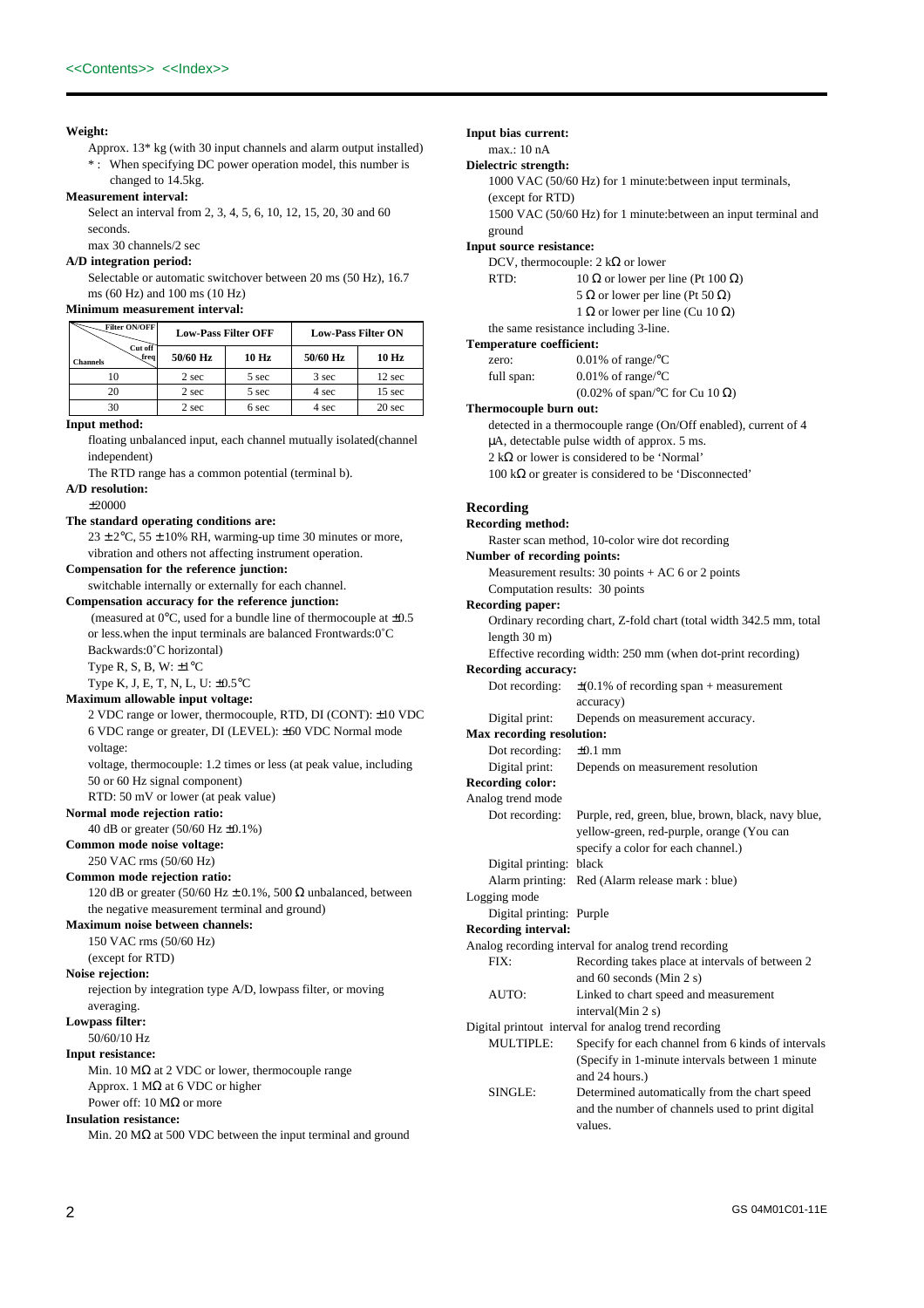## **Weight:**

- Approx. 13\* kg (with 30 input channels and alarm output installed) \* : When specifying DC power operation model, this number is
- changed to 14.5kg.

## **Measurement interval:**

Select an interval from 2, 3, 4, 5, 6, 10, 12, 15, 20, 30 and 60 seconds.

## max 30 channels/2 sec **A/D integration period:**

Selectable or automatic switchover between 20 ms (50 Hz), 16.7 ms (60 Hz) and 100 ms (10 Hz)

### **Minimum measurement interval:**

| Filter ON/OFF               | <b>Low-Pass Filter OFF</b> |       | <b>Low-Pass Filter ON</b> |                   |
|-----------------------------|----------------------------|-------|---------------------------|-------------------|
| Cut off<br>freq<br>Channels | 50/60 Hz                   | 10 Hz | 50/60 Hz                  | 10 Hz             |
| 10                          | 2 sec                      | 5 sec | 3 sec                     | 12 sec            |
| 20                          | 2 sec                      | 5 sec | 4 sec                     | 15 <sub>sec</sub> |
| 30                          | 2 sec                      | 6 sec | 4 sec                     | 20 sec            |

### **Input method:**

floating unbalanced input, each channel mutually isolated(channel independent) The RTD range has a common potential (terminal b).

**A/D resolution:**

### ±20000

### **The standard operating conditions are:**

 $23 \pm 2$ °C,  $55 \pm 10$ % RH, warming-up time 30 minutes or more, vibration and others not affecting instrument operation. **Compensation for the reference junction:**

switchable internally or externally for each channel.

### **Compensation accuracy for the reference junction:**

(measured at  $0^{\circ}$ C, used for a bundle line of thermocouple at  $\pm 0.5$ or less.when the input terminals are balanced Frontwards:0˚C Backwards:0˚C horizontal) Type R, S, B, W:  $\pm 1^{\circ}$ C

### Type K, J, E, T, N, L, U: ±0.5°C **Maximum allowable input voltage:**

2 VDC range or lower, thermocouple, RTD, DI (CONT): ±10 VDC 6 VDC range or greater, DI (LEVEL): ±60 VDC Normal mode voltage:

voltage, thermocouple: 1.2 times or less (at peak value, including 50 or 60 Hz signal component)

## RTD: 50 mV or lower (at peak value)

**Normal mode rejection ratio:**

40 dB or greater (50/60 Hz ±0.1%)

## **Common mode noise voltage:**

250 VAC rms (50/60 Hz) **Common mode rejection ratio:**

120 dB or greater (50/60 Hz  $\pm$  0.1%, 500  $\Omega$  unbalanced, between the negative measurement terminal and ground)

### **Maximum noise between channels:**

- 150 VAC rms (50/60 Hz)
- (except for RTD)

**Noise rejection:**

rejection by integration type A/D, lowpass filter, or moving averaging.

## **Lowpass filter:**

50/60/10 Hz

### **Input resistance:**

Min. 10 MΩ at 2 VDC or lower, thermocouple range Approx. 1 M $\Omega$  at 6 VDC or higher Power off: 10 MΩ or more

### **Insulation resistance:**

Min. 20 MΩ at 500 VDC between the input terminal and ground

**Input bias current:** max.: 10 nA **Dielectric strength:** 1000 VAC (50/60 Hz) for 1 minute:between input terminals, (except for RTD) 1500 VAC (50/60 Hz) for 1 minute:between an input terminal and ground **Input source resistance:** DCV, thermocouple: 2 k $\Omega$  or lower RTD:  $10 \Omega$  or lower per line (Pt 100  $\Omega$ ) 5 Ω or lower per line (Pt 50 Ω) 1 Ω or lower per line (Cu 10 Ω) the same resistance including 3-line. **Temperature coefficient:** zero: 0.01% of range/°C full span: 0.01% of range/°C (0.02% of span/°C for Cu 10  $\Omega$ ) **Thermocouple burn out:** detected in a thermocouple range (On/Off enabled), current of 4 µA, detectable pulse width of approx. 5 ms. 2 kΩ or lower is considered to be 'Normal' 100 kΩ or greater is considered to be 'Disconnected' **Recording Recording method:** Raster scan method, 10-color wire dot recording **Number of recording points:** Measurement results:  $30 \text{ points} + AC \text{ } 6 \text{ or } 2 \text{ points}$ Computation results: 30 points **Recording paper:** Ordinary recording chart, Z-fold chart (total width 342.5 mm, total length 30 m) Effective recording width: 250 mm (when dot-print recording) **Recording accuracy:** Dot recording:  $\pm (0.1\% \text{ of recording span + measurement})$ accuracy) Digital print: Depends on measurement accuracy. **Max recording resolution:** Dot recording: ±0.1 mm Digital print: Depends on measurement resolution **Recording color:** Analog trend mode Dot recording: Purple, red, green, blue, brown, black, navy blue, yellow-green, red-purple, orange (You can specify a color for each channel.) Digital printing: black Alarm printing: Red (Alarm release mark : blue) Logging mode Digital printing: Purple **Recording interval:** Analog recording interval for analog trend recording FIX: Recording takes place at intervals of between 2 and 60 seconds (Min 2 s) AUTO: Linked to chart speed and measurement interval(Min 2 s) Digital printout interval for analog trend recording MULTIPLE: Specify for each channel from 6 kinds of intervals (Specify in 1-minute intervals between 1 minute

and 24 hours.) SINGLE: Determined automatically from the chart speed and the number of channels used to print digital values.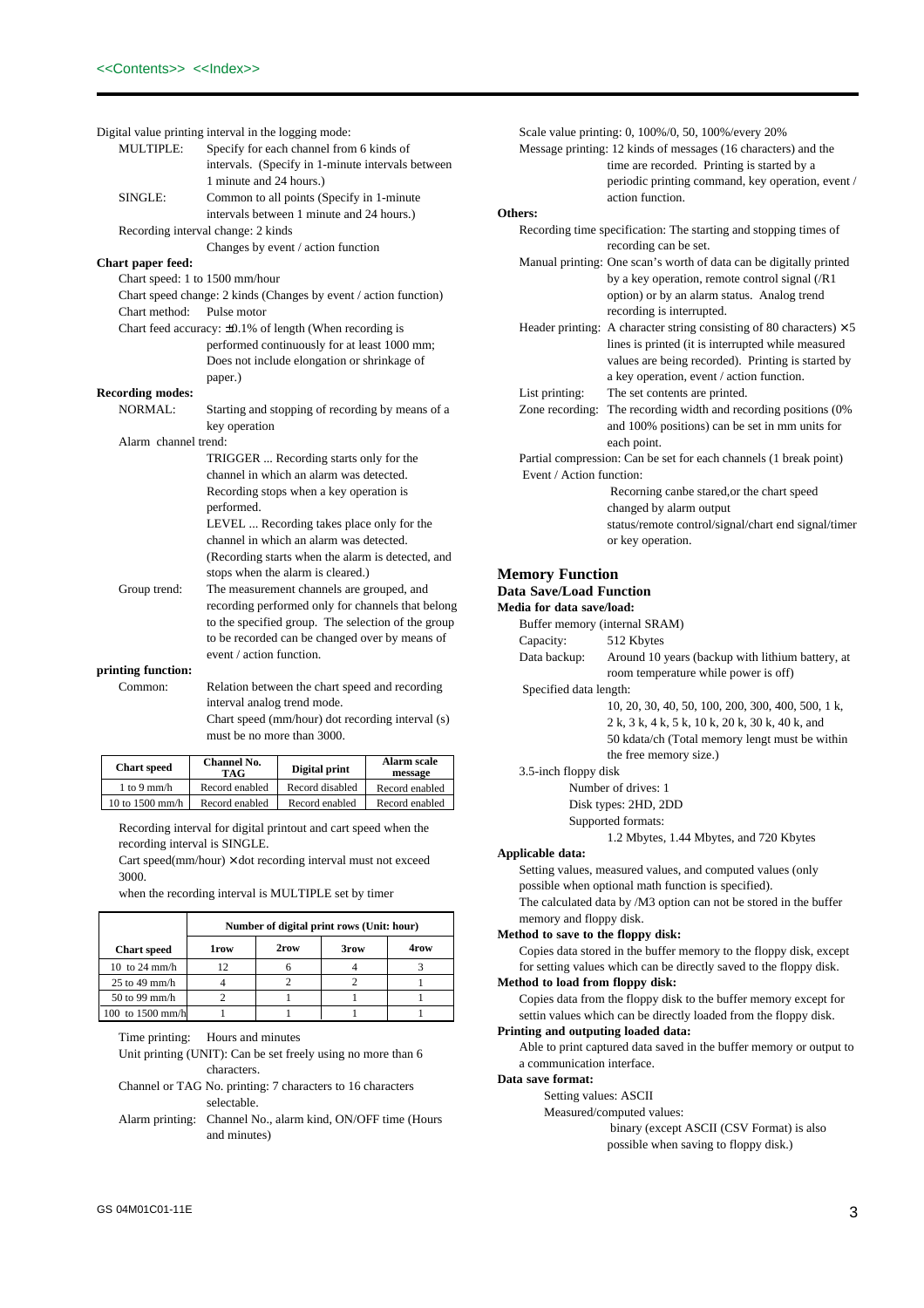|                                | Digital value printing interval in the logging mode:             |
|--------------------------------|------------------------------------------------------------------|
| <b>MULTIPLE:</b>               | Specify for each channel from 6 kinds of                         |
|                                | intervals. (Specify in 1-minute intervals between                |
|                                | 1 minute and 24 hours.)                                          |
| SINGLE:                        | Common to all points (Specify in 1-minute                        |
|                                | intervals between 1 minute and 24 hours.)                        |
|                                | Recording interval change: 2 kinds                               |
|                                | Changes by event / action function                               |
| Chart paper feed:              |                                                                  |
| Chart speed: 1 to 1500 mm/hour |                                                                  |
|                                | Chart speed change: 2 kinds (Changes by event / action function) |
| Chart method:                  | Pulse motor                                                      |
|                                | Chart feed accuracy: $\pm 0.1\%$ of length (When recording is    |
|                                | performed continuously for at least 1000 mm;                     |
|                                | Does not include elongation or shrinkage of                      |
|                                | paper.)                                                          |
| <b>Recording modes:</b>        |                                                                  |
| <b>NORMAL:</b>                 | Starting and stopping of recording by means of a                 |
|                                | key operation                                                    |
| Alarm channel trend:           |                                                                  |
|                                | TRIGGER  Recording starts only for the                           |
|                                | channel in which an alarm was detected.                          |
|                                | Recording stops when a key operation is                          |
|                                | performed.                                                       |
|                                | LEVEL  Recording takes place only for the                        |
|                                | channel in which an alarm was detected.                          |
|                                | (Recording starts when the alarm is detected, and                |
|                                | stops when the alarm is cleared.)                                |
| Group trend:                   | The measurement channels are grouped, and                        |
|                                | recording performed only for channels that belong                |
|                                | to the specified group. The selection of the group               |
|                                | to be recorded can be changed over by means of                   |
|                                | event / action function.                                         |
| printing function:             |                                                                  |

| Common: | Relation between the chart speed and recording  |
|---------|-------------------------------------------------|
|         | interval analog trend mode.                     |
|         | Chart speed (mm/hour) dot recording interval (s |

g interval (s) must be no more than 3000.

| <b>Chart</b> speed | <b>Channel No.</b><br>TAG | Digital print   | <b>Alarm scale</b><br>message |
|--------------------|---------------------------|-----------------|-------------------------------|
| $1$ to $9$ mm/h    | Record enabled            | Record disabled | Record enabled                |
| 10 to $1500$ mm/h  | Record enabled            | Record enabled  | Record enabled                |

Recording interval for digital printout and cart speed when the recording interval is SINGLE.

Cart speed(mm/hour) × dot recording interval must not exceed 3000.

when the recording interval is MULTIPLE set by timer

|                    | Number of digital print rows (Unit: hour) |      |      |      |
|--------------------|-------------------------------------------|------|------|------|
| <b>Chart</b> speed | <b>1row</b>                               | 2row | 3row | 4row |
| 10 to 24 mm/h      | 12                                        |      |      |      |
| $25$ to 49 mm/h    |                                           |      |      |      |
| $50$ to 99 mm/h    |                                           |      |      |      |
| 100 to $1500$ mm/h |                                           |      |      |      |

Time printing: Hours and minutes

Unit printing (UNIT): Can be set freely using no more than 6 characters.

Channel or TAG No. printing: 7 characters to 16 characters selectable.

Alarm printing: Channel No., alarm kind, ON/OFF time (Hours and minutes)

|                                                                |                          | Scale value printing: 0, 100%/0, 50, 100%/every 20%                         |
|----------------------------------------------------------------|--------------------------|-----------------------------------------------------------------------------|
| Message printing: 12 kinds of messages (16 characters) and the |                          |                                                                             |
|                                                                |                          | time are recorded. Printing is started by a                                 |
|                                                                |                          | periodic printing command, key operation, event /                           |
|                                                                |                          | action function.                                                            |
|                                                                | Others:                  |                                                                             |
|                                                                |                          | Recording time specification: The starting and stopping times of            |
|                                                                |                          | recording can be set.                                                       |
|                                                                |                          | Manual printing: One scan's worth of data can be digitally printed          |
|                                                                |                          | by a key operation, remote control signal $(R1)$                            |
|                                                                |                          | option) or by an alarm status. Analog trend                                 |
|                                                                |                          | recording is interrupted.                                                   |
|                                                                |                          | Header printing: A character string consisting of 80 characters) $\times$ 5 |
|                                                                |                          | lines is printed (it is interrupted while measured                          |
|                                                                |                          | values are being recorded). Printing is started by                          |
|                                                                |                          | a key operation, event / action function.                                   |
|                                                                | List printing:           | The set contents are printed.                                               |
|                                                                |                          | Zone recording: The recording width and recording positions (0%)            |
|                                                                |                          | and 100% positions) can be set in mm units for                              |
|                                                                |                          | each point.                                                                 |
|                                                                |                          | Partial compression: Can be set for each channels (1 break point)           |
|                                                                | Event / Action function: |                                                                             |
|                                                                |                          | Recorning canbe stared, or the chart speed                                  |
|                                                                |                          | changed by alarm output                                                     |
|                                                                |                          | status/remote control/signal/chart end signal/timer                         |

## **Memory Function**

## **Data Save/Load Function**

**Medi** 

| lia for data save/load: |                                                   |  |  |
|-------------------------|---------------------------------------------------|--|--|
|                         | Buffer memory (internal SRAM)                     |  |  |
| Capacity:               | 512 Kbytes                                        |  |  |
| Data backup:            | Around 10 years (backup with lithium battery, at  |  |  |
|                         | room temperature while power is off)              |  |  |
| Specified data length:  |                                                   |  |  |
|                         | 10, 20, 30, 40, 50, 100, 200, 300, 400, 500, 1 k, |  |  |
|                         | 2 k, 3 k, 4 k, 5 k, 10 k, 20 k, 30 k, 40 k, and   |  |  |

or key operation.

50 kdata/ch (Total memory lengt must be within the free memory size.)

### 3.5-inch floppy disk

Number of drives: 1

Disk types: 2HD, 2DD

Supported formats:

1.2 Mbytes, 1.44 Mbytes, and 720 Kbytes

### **Applicable data:**

Setting values, measured values, and computed values (only possible when optional math function is specified). The calculated data by /M3 option can not be stored in the buffer

memory and floppy disk.

## **Method to save to the floppy disk:**

Copies data stored in the buffer memory to the floppy disk, except for setting values which can be directly saved to the floppy disk.

## **Method to load from floppy disk:**

Copies data from the floppy disk to the buffer memory except for settin values which can be directly loaded from the floppy disk.

## **Printing and outputing loaded data:**

Able to print captured data saved in the buffer memory or output to a communication interface.

### **Data save format:**

Setting values: ASCII

Measured/computed values:

 binary (except ASCII (CSV Format) is also possible when saving to floppy disk.)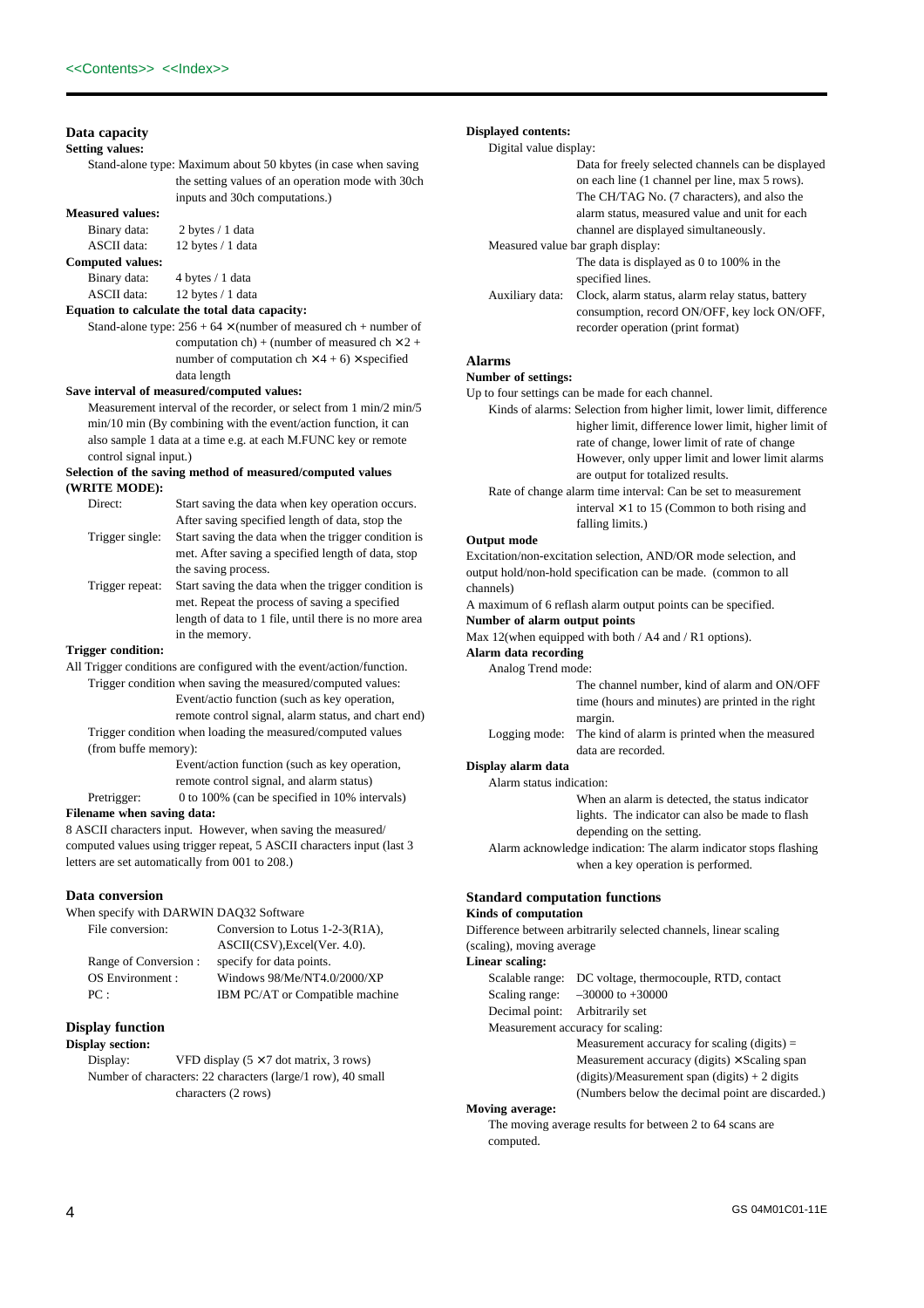## **Data capacity**

**Setting values:**

Stand-alone type: Maximum about 50 kbytes (in case when saving the setting values of an operation mode with 30ch inputs and 30ch computations.)

**Measured values:**

Binary data: 2 bytes / 1 data<br>ASCII data: 12 bytes / 1 data 12 bytes / 1 data **Computed values:** Binary data: 4 bytes / 1 data ASCII data: 12 bytes / 1 data

## **Equation to calculate the total data capacity:**

Stand-alone type:  $256 + 64 \times$  (number of measured ch + number of computation ch) + (number of measured ch  $\times$  2 + number of computation  $ch \times 4 + 6 \times$  specified data length

### **Save interval of measured/computed values:**

Measurement interval of the recorder, or select from 1 min/2 min/5 min/10 min (By combining with the event/action function, it can also sample 1 data at a time e.g. at each M.FUNC key or remote control signal input.)

### **Selection of the saving method of measured/computed values (WRITE MODE):**

| Direct:         | Start saving the data when key operation occurs.      |
|-----------------|-------------------------------------------------------|
|                 | After saving specified length of data, stop the       |
| Trigger single: | Start saving the data when the trigger condition is   |
|                 | met. After saving a specified length of data, stop    |
|                 | the saving process.                                   |
| Trigger repeat: | Start saving the data when the trigger condition is   |
|                 | met. Repeat the process of saving a specified         |
|                 | length of data to 1 file, until there is no more area |

in the memory.

## **Trigger condition:**

All Trigger conditions are configured with the event/action/function. Trigger condition when saving the measured/computed values:

> Event/actio function (such as key operation, remote control signal, alarm status, and chart end)

Trigger condition when loading the measured/computed values (from buffe memory):

> Event/action function (such as key operation, remote control signal, and alarm status)

Pretrigger: 0 to 100% (can be specified in 10% intervals)

## **Filename when saving data:**

8 ASCII characters input. However, when saving the measured/ computed values using trigger repeat, 5 ASCII characters input (last 3 letters are set automatically from 001 to 208.)

### **Data conversion**

When specify with DARWIN DAQ32 Software

| File conversion:     | Conversion to Lotus $1-2-3(R1A)$ , |
|----------------------|------------------------------------|
|                      | ASCII(CSV), Excel(Ver. 4.0).       |
| Range of Conversion: | specify for data points.           |
| OS Environment:      | Windows 98/Me/NT4.0/2000/XP        |
| PC:                  | IBM PC/AT or Compatible machine    |
|                      |                                    |

## **Display function**

## **Display section:**

Display: VFD display  $(5 \times 7$  dot matrix, 3 rows) Number of characters: 22 characters (large/1 row), 40 small characters (2 rows)

## **Displayed contents:**

Digital value display:

|                 | Data for freely selected channels can be displayed                                                                                    |
|-----------------|---------------------------------------------------------------------------------------------------------------------------------------|
|                 | on each line (1 channel per line, max 5 rows).                                                                                        |
|                 | The CH/TAG No. (7 characters), and also the                                                                                           |
|                 | alarm status, measured value and unit for each                                                                                        |
|                 | channel are displayed simultaneously.                                                                                                 |
|                 | Measured value bar graph display:                                                                                                     |
|                 | The data is displayed as 0 to 100% in the<br>specified lines.                                                                         |
| Auxiliary data: | Clock, alarm status, alarm relay status, battery<br>consumption, record ON/OFF, key lock ON/OFF,<br>recorder operation (print format) |
|                 |                                                                                                                                       |

## **Alarms**

## **Number of settings:**

Up to four settings can be made for each channel.

Kinds of alarms: Selection from higher limit, lower limit, difference higher limit, difference lower limit, higher limit of rate of change, lower limit of rate of change However, only upper limit and lower limit alarms are output for totalized results.

Rate of change alarm time interval: Can be set to measurement interval  $\times$  1 to 15 (Common to both rising and falling limits.)

## **Output mode**

Excitation/non-excitation selection, AND/OR mode selection, and output hold/non-hold specification can be made. (common to all channels)

A maximum of 6 reflash alarm output points can be specified.

## **Number of alarm output points**

Max 12(when equipped with both / A4 and / R1 options).

## **Alarm data recording**

Analog Trend mode:

The channel number, kind of alarm and ON/OFF time (hours and minutes) are printed in the right margin.

Logging mode: The kind of alarm is printed when the measured data are recorded.

## **Display alarm data**

Alarm status indication: When an alarm is detected, the status indicator lights. The indicator can also be made to flash depending on the setting.

Alarm acknowledge indication: The alarm indicator stops flashing when a key operation is performed.

## **Standard computation functions**

## **Kinds of computation**

Difference between arbitrarily selected channels, linear scaling (scaling), moving average

**Linear scaling:**

| Scalable range:                   | DC voltage, thermocouple, RTD, contact              |  |
|-----------------------------------|-----------------------------------------------------|--|
| Scaling range:                    | $-30000$ to $+30000$                                |  |
| Decimal point: Arbitrarily set    |                                                     |  |
| Measurement accuracy for scaling: |                                                     |  |
|                                   | Measurement accuracy for scaling (digits) $=$       |  |
|                                   | Measurement accuracy (digits) $\times$ Scaling span |  |
|                                   | $(digits)/Measurement span (digits) + 2 digits$     |  |
|                                   | (Numbers below the decimal point are discarded.)    |  |

### **Moving average:**

The moving average results for between 2 to 64 scans are computed.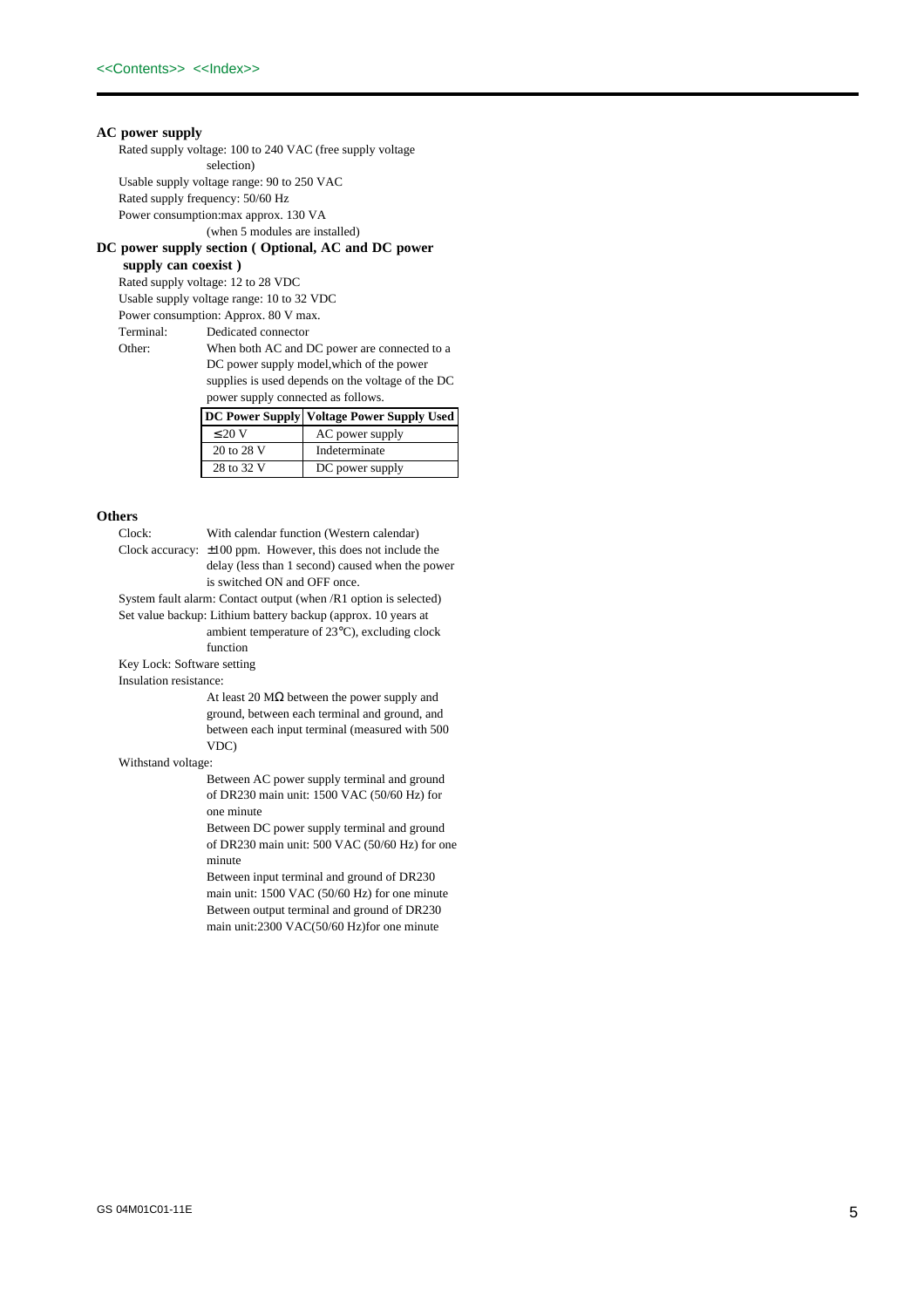## **AC power supply**

Rated supply voltage: 100 to 240 VAC (free supply voltage selection) Usable supply voltage range: 90 to 250 VAC Rated supply frequency: 50/60 Hz Power consumption:max approx. 130 VA

(when 5 modules are installed)

## **DC power supply section ( Optional, AC and DC power**

**supply can coexist )**

Rated supply voltage: 12 to 28 VDC Usable supply voltage range: 10 to 32 VDC Power consumption: Approx. 80 V max. Terminal: Dedicated connector

Other: When both AC and DC power are connected to a DC power supply model,which of the power supplies is used depends on the voltage of the DC power supply connected as follows.

|             | DC Power Supply   Voltage Power Supply Used |
|-------------|---------------------------------------------|
| $\leq 20$ V | AC power supply                             |
| 20 to 28 V  | Indeterminate                               |
| 28 to 32 V  | DC power supply                             |

## **Others**

Clock: With calendar function (Western calendar) Clock accuracy: ±100 ppm. However, this does not include the delay (less than 1 second) caused when the power is switched ON and OFF once.

System fault alarm: Contact output (when /R1 option is selected) Set value backup: Lithium battery backup (approx. 10 years at ambient temperature of 23°C), excluding clock function

Key Lock: Software setting

Insulation resistance:

At least 20  $\text{M}\Omega$  between the power supply and ground, between each terminal and ground, and between each input terminal (measured with 500 VDC)

### Withstand voltage:

Between AC power supply terminal and ground of DR230 main unit: 1500 VAC (50/60 Hz) for one minute

Between DC power supply terminal and ground of DR230 main unit: 500 VAC (50/60 Hz) for one minute

Between input terminal and ground of DR230 main unit: 1500 VAC (50/60 Hz) for one minute Between output terminal and ground of DR230 main unit:2300 VAC(50/60 Hz)for one minute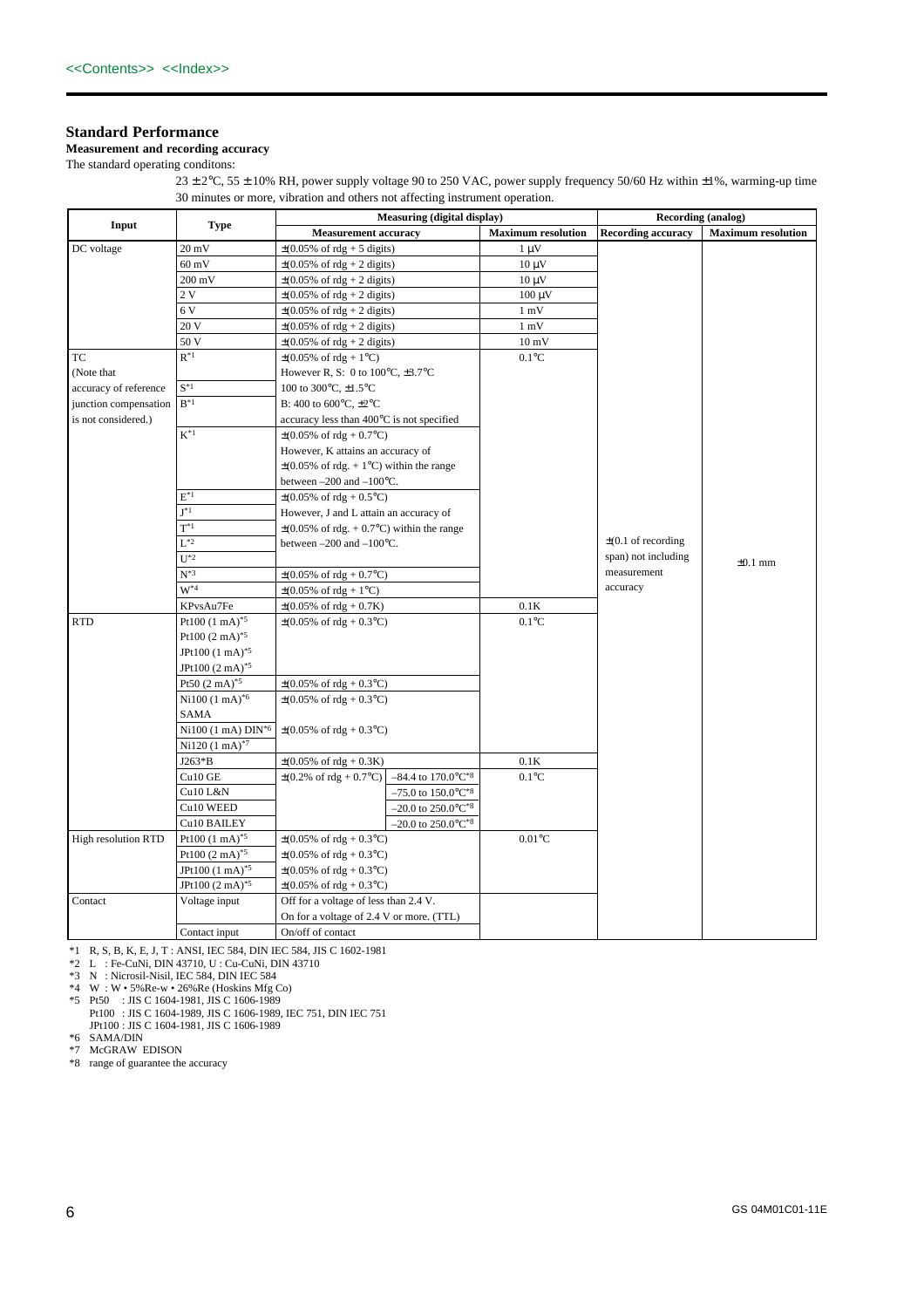## **Standard Performance**

## **Measurement and recording accuracy**

The standard operating conditons:

 $23 \pm 2$ °C, 55  $\pm$  10% RH, power supply voltage 90 to 250 VAC, power supply frequency 50/60 Hz within  $\pm 1$ %, warming-up time 30 minutes or more, vibration and others not affecting instrument operation.

|                       |                                     | Measuring (digital display)                                                                              |                           | Recording (analog)        |                           |
|-----------------------|-------------------------------------|----------------------------------------------------------------------------------------------------------|---------------------------|---------------------------|---------------------------|
| Input                 | Type                                | <b>Measurement accuracy</b>                                                                              | <b>Maximum resolution</b> | <b>Recording accuracy</b> | <b>Maximum resolution</b> |
| DC voltage            | $20 \text{ mV}$                     | $\pm(0.05\% \text{ of } \text{rdg} + 5 \text{ digits})$                                                  | $1 \mu V$                 |                           |                           |
|                       | $60 \text{ mV}$                     | $\pm (0.05\% \text{ of } \text{rdg} + 2 \text{ digits})$                                                 | $10 \mu V$                |                           |                           |
|                       | $200 \text{ mV}$                    | $\pm (0.05\% \text{ of } \text{rdg} + 2 \text{ digits})$                                                 | $10 \mu V$                |                           |                           |
|                       | 2V                                  | $\pm(0.05\% \text{ of } \text{rdg} + 2 \text{ digits})$                                                  | $100 \mu V$               |                           |                           |
|                       | 6 V                                 | $\pm (0.05\% \text{ of } \text{rdg} + 2 \text{ digits})$                                                 | $1 \text{ mV}$            |                           |                           |
|                       | 20 V                                | $\pm(0.05\% \text{ of } \text{rdg} + 2 \text{ digits})$                                                  | $1 \text{ mV}$            |                           |                           |
|                       | 50 V                                | $\pm (0.05\% \text{ of } \text{rdg} + 2 \text{ digits})$                                                 | $10\:\rm mV$              |                           |                           |
| TC                    | $R^*1$                              | $\pm (0.05\% \text{ of } \text{rdg} + 1\degree \text{C})$                                                | $0.1^{\circ}$ C           |                           |                           |
| (Note that            |                                     | However R, S: 0 to $100^{\circ}$ C, $\pm 3.7^{\circ}$ C                                                  |                           |                           |                           |
| accuracy of reference | $S^*1$                              | 100 to 300°C, ±1.5°C                                                                                     |                           |                           |                           |
| junction compensation | $B^*1$                              | B: 400 to 600 $\degree$ C, $\pm 2\degree$ C                                                              |                           |                           |                           |
| is not considered.)   |                                     | accuracy less than 400°C is not specified                                                                |                           |                           |                           |
|                       | $K^*{}^1$                           | $\pm (0.05\% \text{ of } \text{rdg} + 0.7\degree \text{C})$                                              |                           |                           |                           |
|                       |                                     | However, K attains an accuracy of                                                                        |                           |                           |                           |
|                       |                                     | $\pm$ (0.05% of rdg. + 1°C) within the range                                                             |                           |                           |                           |
|                       |                                     | between $-200$ and $-100$ °C.                                                                            |                           |                           |                           |
|                       | $E^*{}^1$                           | $\pm (0.05\% \text{ of } \text{rdg} + 0.5\degree \text{C})$                                              |                           |                           |                           |
|                       | $I^*1$                              | However, J and L attain an accuracy of                                                                   |                           |                           |                           |
|                       | $T^*1$                              | $\pm (0.05\% \text{ of } \text{rdg.} + 0.7\degree \text{C})$ within the range                            |                           |                           |                           |
|                       | $L^{*2}$                            | between $-200$ and $-100$ °C.                                                                            |                           | $\pm$ (0.1 of recording   |                           |
|                       | $U^*2$                              |                                                                                                          |                           | span) not including       | $\pm 0.1$ mm              |
|                       | $N^*$ <sup>3</sup>                  | $\pm (0.05\% \text{ of } \text{rdg} + 0.7\degree \text{C})$                                              |                           | measurement               |                           |
|                       | $W^*$ 4                             | $\pm (0.05\% \text{ of } \text{rdg} + 1\degree \text{C})$                                                |                           | accuracy                  |                           |
|                       | KPvsAu7Fe                           | $\pm (0.05\% \text{ of } \text{rdg} + 0.7\text{K})$                                                      | 0.1K                      |                           |                           |
| <b>RTD</b>            | Pt100 $(1 \text{ mA})^{*5}$         | $\pm (0.05\% \text{ of } \text{rdg} + 0.3\degree \text{C})$                                              | $0.1^{\circ}$ C           |                           |                           |
|                       | Pt100 $(2 \text{ mA})^{*5}$         |                                                                                                          |                           |                           |                           |
|                       | JPt100 (1 mA) <sup>*5</sup>         |                                                                                                          |                           |                           |                           |
|                       | JPt100 $(2 \text{ mA})^{*5}$        |                                                                                                          |                           |                           |                           |
|                       | Pt50 $(2 \text{ mA})^{*5}$          | $\pm (0.05\% \text{ of } \text{rdg} + 0.3\degree \text{C})$                                              |                           |                           |                           |
|                       | $Ni100 (1 mA)^{*6}$                 | $\pm (0.05\% \text{ of } \text{rdg} + 0.3\degree \text{C})$                                              |                           |                           |                           |
|                       | SAMA                                |                                                                                                          |                           |                           |                           |
|                       | $Ni100 (1 mA)$ $DIN^*$ <sup>6</sup> | $\pm (0.05\% \text{ of } \text{rdg} + 0.3\degree \text{C})$                                              |                           |                           |                           |
|                       | Ni120 (1 mA) <sup>*7</sup>          |                                                                                                          |                           |                           |                           |
|                       | J263*B                              | $\pm (0.05\% \text{ of } \text{rdg} + 0.3\text{K})$                                                      | 0.1K                      |                           |                           |
|                       | Cu10 GE                             | $\pm (0.2\% \text{ of } \text{rdg} + 0.7\degree \text{C})$<br>$-84.4$ to $170.0^{\circ}$ C <sup>*8</sup> | $0.1^{\circ}$ C           |                           |                           |
|                       | Cu10 L&N                            | $-75.0$ to $150.0$ °C <sup>*8</sup>                                                                      |                           |                           |                           |
|                       | Cu10 WEED                           | $-20.0$ to $250.0$ °C <sup>*8</sup>                                                                      |                           |                           |                           |
|                       | Cu10 BAILEY                         | $-20.0$ to $250.0$ °C <sup>*8</sup>                                                                      |                           |                           |                           |
| High resolution RTD   | Pt100 $(1 \text{ mA})^{*5}$         | $\pm (0.05\% \text{ of } \text{rdg} + 0.3\degree \text{C})$                                              | $0.01^{\circ}$ C          |                           |                           |
|                       | Pt100 $(2 \text{ mA})^{*5}$         | $\pm (0.05\% \text{ of } \text{rdg} + 0.3\degree \text{C})$                                              |                           |                           |                           |
|                       | JPt100 (1 mA) <sup>*5</sup>         | $\pm (0.05\% \text{ of } \text{rdg} + 0.3\degree \text{C})$                                              |                           |                           |                           |
|                       | JPt100 $(2 \text{ mA})^{*5}$        | $\pm (0.05\% \text{ of } \text{rdg} + 0.3\degree \text{C})$                                              |                           |                           |                           |
| Contact               | Voltage input                       | Off for a voltage of less than 2.4 V.                                                                    |                           |                           |                           |
|                       |                                     | On for a voltage of 2.4 V or more. (TTL)                                                                 |                           |                           |                           |
|                       | Contact input                       | On/off of contact                                                                                        |                           |                           |                           |

\*1 R, S, B, K, E, J, T : ANSI, IEC 584, DIN IEC 584, JIS C 1602-1981

\*2 L : Fe-CuNi, DIN 43710, U : Cu-CuNi, DIN 43710

\*3 N : Nicrosil-Nisil, IEC 584, DIN IEC 584

\*4 W : W • 5%Re-w • 26%Re (Hoskins Mfg Co)

\*5 Pt50 : JIS C 1604-1981, JIS C 1606-1989 Pt100 : JIS C 1604-1989, JIS C 1606-1989, IEC 751, DIN IEC 751 JPt100 : JIS C 1604-1981, JIS C 1606-1989

\*6 SAMA/DIN \*7 McGRAW EDISON

\*8 range of guarantee the accuracy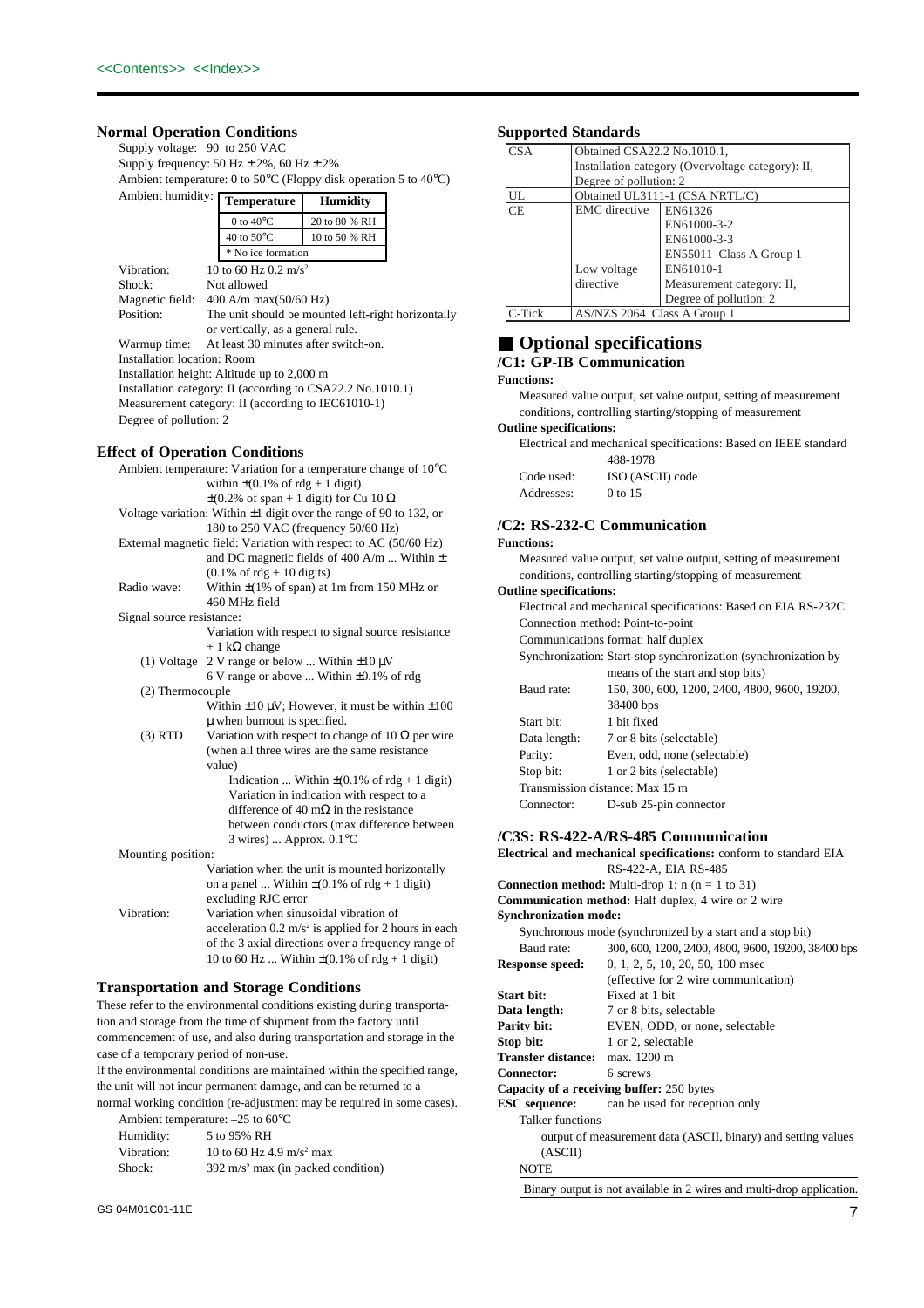## **Normal Operation Conditions**

Supply voltage: 90 to 250 VAC Supply frequency:  $50 \text{ Hz} \pm 2\%$ ,  $60 \text{ Hz} \pm 2\%$ Ambient temperature: 0 to 50°C (Floppy disk operation 5 to 40°C) Ambient humidity: **Temperature Humidity**

| Allioiein munique.                                         | <b>Temperature</b>                                 | <b>Humidity</b> |  |
|------------------------------------------------------------|----------------------------------------------------|-----------------|--|
|                                                            | 0 to $40^{\circ}$ C                                | 20 to 80 % RH   |  |
|                                                            | 40 to $50^{\circ}$ C                               | 10 to 50 % RH   |  |
|                                                            | * No ice formation                                 |                 |  |
| Vibration:                                                 | 10 to 60 Hz 0.2 m/s <sup>2</sup>                   |                 |  |
| Shock:                                                     | Not allowed                                        |                 |  |
| Magnetic field:                                            | $400$ A/m max $(50/60$ Hz)                         |                 |  |
| Position:                                                  | The unit should be mounted left-right horizontally |                 |  |
|                                                            | or vertically, as a general rule.                  |                 |  |
| Warmup time:                                               | At least 30 minutes after switch-on.               |                 |  |
| <b>Installation location: Room</b>                         |                                                    |                 |  |
| Installation height: Altitude up to 2,000 m                |                                                    |                 |  |
| Installation category: II (according to CSA22.2 No.1010.1) |                                                    |                 |  |
| Measurement category: II (according to IEC61010-1)         |                                                    |                 |  |
| Degree of pollution: 2                                     |                                                    |                 |  |

## **Effect of Operation Conditions**

|                           | Ambient temperature: Variation for a temperature change of $10^{\circ}$ C  |  |
|---------------------------|----------------------------------------------------------------------------|--|
|                           | within $\pm$ (0.1% of rdg + 1 digit)                                       |  |
|                           | $\pm$ (0.2% of span + 1 digit) for Cu 10 $\Omega$                          |  |
|                           | Voltage variation: Within $\pm 1$ digit over the range of 90 to 132, or    |  |
|                           | 180 to 250 VAC (frequency 50/60 Hz)                                        |  |
|                           | External magnetic field: Variation with respect to AC (50/60 Hz)           |  |
|                           | and DC magnetic fields of 400 A/m  Within $\pm$                            |  |
|                           | $(0.1\% \text{ of } \text{rdg} + 10 \text{ digits})$                       |  |
| Radio wave:               | Within $\pm$ (1% of span) at 1m from 150 MHz or                            |  |
|                           | 460 MHz field                                                              |  |
| Signal source resistance: |                                                                            |  |
|                           | Variation with respect to signal source resistance                         |  |
|                           | $+1$ k $\Omega$ change                                                     |  |
| $(1)$ Voltage             | 2 V range or below  Within $\pm 10 \mu$ V                                  |  |
|                           | 6 V range or above  Within $\pm 0.1\%$ of rdg                              |  |
| (2) Thermocouple          |                                                                            |  |
|                           | Within $\pm 10 \mu V$ ; However, it must be within $\pm 100$               |  |
|                           | $\mu$ when burnout is specified.                                           |  |
| $(3)$ RTD                 | Variation with respect to change of 10 $\Omega$ per wire                   |  |
|                           | (when all three wires are the same resistance                              |  |
|                           | value)                                                                     |  |
|                           | Indication  Within $\pm (0.1\% \text{ of } \text{rdg } + 1 \text{ digit})$ |  |
|                           | Variation in indication with respect to a                                  |  |
|                           | difference of 40 m $\Omega$ in the resistance                              |  |
|                           | between conductors (max difference between                                 |  |
|                           | $3 \text{ wires}$ )  Approx. $0.1$ °C                                      |  |
| Mounting position:        |                                                                            |  |
|                           | Variation when the unit is mounted horizontally                            |  |
|                           | on a panel  Within $\pm (0.1\% \text{ of } rdg + 1 \text{ digit})$         |  |
|                           | excluding RJC error                                                        |  |
| Vibration:                | Variation when sinusoidal vibration of                                     |  |
|                           | acceleration $0.2 \text{ m/s}^2$ is applied for 2 hours in each            |  |
|                           | of the 3 axial directions over a frequency range of                        |  |
|                           | 10 to 60 Hz  Within $\pm$ (0.1% of rdg + 1 digit)                          |  |

### **Transportation and Storage Conditions**

These refer to the environmental conditions existing during transportation and storage from the time of shipment from the factory until commencement of use, and also during transportation and storage in the case of a temporary period of non-use.

If the environmental conditions are maintained within the specified range, the unit will not incur permanent damage, and can be returned to a

normal working condition (re-adjustment may be required in some cases). Ambient temperature: –25 to 60°C

| Humidity:  | 5 to 95% RH                                   |
|------------|-----------------------------------------------|
| Vibration: | 10 to 60 Hz 4.9 m/s <sup>2</sup> max          |
| Shock:     | $392 \text{ m/s}^2$ max (in packed condition) |

## **Supported Standards**

| <b>CSA</b> | Obtained CSA22.2 No.1010.1, |                                                   |
|------------|-----------------------------|---------------------------------------------------|
|            |                             | Installation category (Overvoltage category): II, |
|            | Degree of pollution: 2      |                                                   |
| UL         |                             | Obtained UL3111-1 (CSA NRTL/C)                    |
| <b>CE</b>  | <b>EMC</b> directive        | EN61326                                           |
|            |                             | EN61000-3-2                                       |
|            |                             | EN61000-3-3                                       |
|            |                             | EN55011 Class A Group 1                           |
|            | Low voltage                 | EN61010-1                                         |
|            | directive                   | Measurement category: II,                         |
|            |                             | Degree of pollution: 2                            |
| C-Tick     | AS/NZS 2064 Class A Group 1 |                                                   |

## ■ **Optional specifications**

## **/C1: GP-IB Communication**

### **Functions:**

Measured value output, set value output, setting of measurement conditions, controlling starting/stopping of measurement

### **Outline specifications:**

Electrical and mechanical specifications: Based on IEEE standard 488-1978

|            | $+00=17/0$       |
|------------|------------------|
| Code used: | ISO (ASCII) code |
| Addresses: | 0 to 15          |

## **/C2: RS-232-C Communication**

Connection method: Point-to-point Communications format: half duplex

Start bit: 1 bit fixed

38400 bps

**/C3S: RS-422-A/RS-485 Communication**

Data length: 7 or 8 bits (selectable) Parity: Even, odd, none (selectable) Stop bit: 1 or 2 bits (selectable) Transmission distance: Max 15 m Connector: D-sub 25-pin connector

## **Functions:**

Measured value output, set value output, setting of measurement conditions, controlling starting/stopping of measurement

Synchronization: Start-stop synchronization (synchronization by means of the start and stop bits) Baud rate: 150, 300, 600, 1200, 2400, 4800, 9600, 19200,

**Outline specifications:** Electrical and mechanical specifications: Based on EIA RS-232C

|      |                                                            | Electrical and mechanical specifications: conform to standard EIA |  |  |
|------|------------------------------------------------------------|-------------------------------------------------------------------|--|--|
| ly   |                                                            | RS-422-A, EIA RS-485                                              |  |  |
|      |                                                            | <b>Connection method:</b> Multi-drop 1: $n (n = 1 to 31)$         |  |  |
|      | <b>Communication method:</b> Half duplex, 4 wire or 2 wire |                                                                   |  |  |
|      |                                                            | <b>Synchronization mode:</b>                                      |  |  |
| each | Synchronous mode (synchronized by a start and a stop bit)  |                                                                   |  |  |
| e of | Baud rate:                                                 | 300, 600, 1200, 2400, 4800, 9600, 19200, 38400 bps                |  |  |
|      | <b>Response speed:</b>                                     | 0, 1, 2, 5, 10, 20, 50, 100 msec                                  |  |  |

| wesponse specu.                       | 0, 1, 2, 9, 10, 20, 90, 100 mscc                              |
|---------------------------------------|---------------------------------------------------------------|
|                                       | (effective for 2 wire communication)                          |
| Start bit:                            | Fixed at 1 bit                                                |
| Data length:                          | 7 or 8 bits, selectable                                       |
| Parity bit:                           | EVEN, ODD, or none, selectable                                |
| Stop bit:                             | 1 or 2, selectable                                            |
| <b>Transfer distance:</b> max. 1200 m |                                                               |
| Connector:                            | 6 screws                                                      |
|                                       | <b>Capacity of a receiving buffer: 250 bytes</b>              |
|                                       | <b>ESC</b> sequence: can be used for reception only           |
| Talker functions                      |                                                               |
|                                       | output of measurement data (ASCII, binary) and setting values |
| (ASCII)                               |                                                               |
|                                       |                                                               |

**NOTE** 

Binary output is not available in 2 wires and multi-drop application.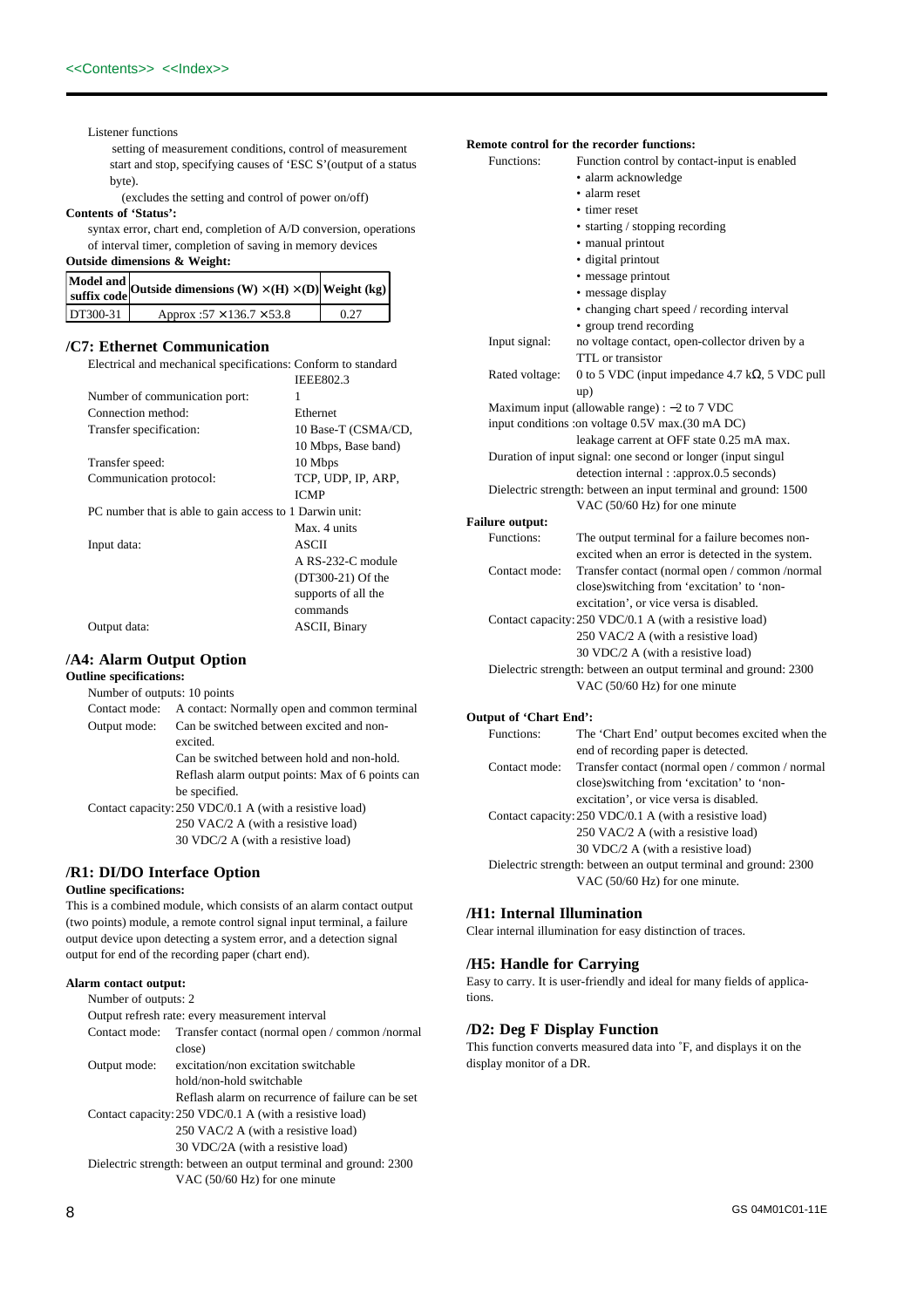Listener functions

setting of measurement conditions, control of measurement start and stop, specifying causes of 'ESC S'(output of a status byte).

(excludes the setting and control of power on/off)

## **Contents of 'Status':**

syntax error, chart end, completion of A/D conversion, operations of interval timer, completion of saving in memory devices

## **Outside dimensions & Weight:**

|          | Model and<br>suffix code Outside dimensions $(W) \times (H) \times (D)$<br>weight (kg) |      |
|----------|----------------------------------------------------------------------------------------|------|
| DT300-31 | Approx: $57 \times 136.7 \times 53.8$                                                  | 0.27 |

## **/C7: Ethernet Communication**

| Electrical and mechanical specifications: Conform to standard |                     |
|---------------------------------------------------------------|---------------------|
|                                                               | <b>IEEE802.3</b>    |
| Number of communication port:                                 | 1                   |
| Connection method:                                            | Ethernet            |
| Transfer specification:                                       | 10 Base-T (CSMA/CD, |
|                                                               | 10 Mbps, Base band) |
| Transfer speed:                                               | 10 Mbps             |
| Communication protocol:                                       | TCP, UDP, IP, ARP,  |
|                                                               | <b>ICMP</b>         |
| PC number that is able to gain access to 1 Darwin unit:       |                     |
|                                                               | Max. 4 units        |
| Input data:                                                   | ASCII               |
|                                                               | A RS-232-C module   |
|                                                               | (DT300-21) Of the   |
|                                                               | supports of all the |
|                                                               | commands            |
| Output data:                                                  | ASCII, Binary       |

## **/A4: Alarm Output Option**

**Outline specifications:**

| Number of outputs: 10 points |                                                         |  |
|------------------------------|---------------------------------------------------------|--|
| Contact mode:                | A contact: Normally open and common terminal            |  |
| Output mode:                 | Can be switched between excited and non-                |  |
|                              | excited.                                                |  |
|                              | Can be switched between hold and non-hold.              |  |
|                              | Reflash alarm output points: Max of 6 points can        |  |
|                              | be specified.                                           |  |
|                              | Contact capacity: 250 VDC/0.1 A (with a resistive load) |  |
|                              | 250 VAC/2 A (with a resistive load)                     |  |
|                              | 30 VDC/2 A (with a resistive load)                      |  |

## **/R1: DI/DO Interface Option**

## **Outline specifications:**

This is a combined module, which consists of an alarm contact output (two points) module, a remote control signal input terminal, a failure output device upon detecting a system error, and a detection signal output for end of the recording paper (chart end).

### **Alarm contact output:**

| Number of outputs: 2                                             |                                                   |  |
|------------------------------------------------------------------|---------------------------------------------------|--|
|                                                                  | Output refresh rate: every measurement interval   |  |
| Contact mode:                                                    | Transfer contact (normal open / common /normal    |  |
|                                                                  | close)                                            |  |
| Output mode:                                                     | excitation/non excitation switchable              |  |
|                                                                  | hold/non-hold switchable                          |  |
|                                                                  | Reflash alarm on recurrence of failure can be set |  |
| Contact capacity: 250 VDC/0.1 A (with a resistive load)          |                                                   |  |
|                                                                  | 250 VAC/2 A (with a resistive load)               |  |
|                                                                  | 30 VDC/2A (with a resistive load)                 |  |
| Dielectric strength: between an output terminal and ground: 2300 |                                                   |  |
|                                                                  | VAC (50/60 Hz) for one minute                     |  |

|  |  | Remote control for the recorder functions: |
|--|--|--------------------------------------------|

| Functions:             | Function control by contact-input is enabled                     |
|------------------------|------------------------------------------------------------------|
|                        | · alarm acknowledge                                              |
|                        | · alarm reset                                                    |
|                        | • timer reset                                                    |
|                        | • starting / stopping recording                                  |
|                        | · manual printout                                                |
|                        | · digital printout                                               |
|                        | · message printout                                               |
|                        | • message display                                                |
|                        | • changing chart speed / recording interval                      |
|                        | • group trend recording                                          |
| Input signal:          | no voltage contact, open-collector driven by a                   |
|                        | TTL or transistor                                                |
| Rated voltage:         | 0 to 5 VDC (input impedance 4.7 k $\Omega$ , 5 VDC pull          |
|                        | up)                                                              |
|                        | Maximum input (allowable range) : $-2$ to 7 VDC                  |
|                        | input conditions : on voltage 0.5V max. (30 mA DC)               |
|                        | leakage carrent at OFF state 0.25 mA max.                        |
|                        | Duration of input signal: one second or longer (input singul     |
|                        | detection internal : :approx.0.5 seconds)                        |
|                        | Dielectric strength: between an input terminal and ground: 1500  |
|                        | VAC (50/60 Hz) for one minute                                    |
| <b>Failure output:</b> |                                                                  |
| Functions:             | The output terminal for a failure becomes non-                   |
|                        | excited when an error is detected in the system.                 |
| Contact mode:          | Transfer contact (normal open / common /normal                   |
|                        | close)switching from 'excitation' to 'non-                       |
|                        | excitation', or vice versa is disabled.                          |
|                        | Contact capacity: 250 VDC/0.1 A (with a resistive load)          |
|                        | 250 VAC/2 A (with a resistive load)                              |
|                        | 30 VDC/2 A (with a resistive load)                               |
|                        | Dielectric strength: between an output terminal and ground: 2300 |
|                        | VAC (50/60 Hz) for one minute                                    |
| Output of 'Chart End': |                                                                  |
| Functions:             | The 'Chart End' output becomes excited when the                  |
|                        | end of recording paper is detected.                              |
| Contact mode:          | Transfer contact (normal open / common / normal                  |
|                        | close)switching from 'excitation' to 'non-                       |
|                        |                                                                  |

excitation', or vice versa is disabled. Contact capacity:250 VDC/0.1 A (with a resistive load) 250 VAC/2 A (with a resistive load) 30 VDC/2 A (with a resistive load) Dielectric strength: between an output terminal and ground: 2300 VAC (50/60 Hz) for one minute.

## **/H1: Internal Illumination**

Clear internal illumination for easy distinction of traces.

## **/H5: Handle for Carrying**

Easy to carry. It is user-friendly and ideal for many fields of applications.

## **/D2: Deg F Display Function**

This function converts measured data into ˚F, and displays it on the display monitor of a DR.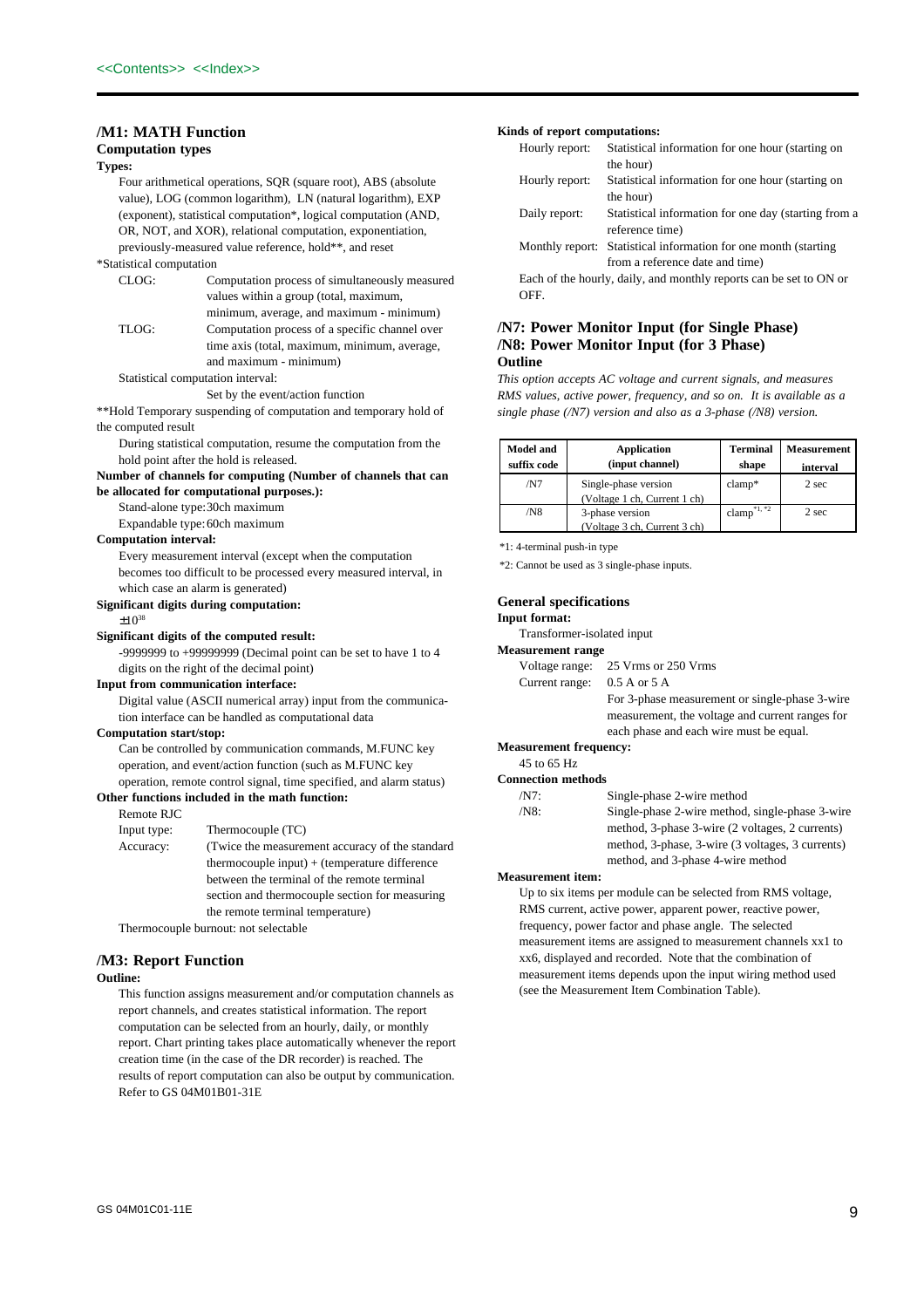## **/M1: MATH Function**

## **Computation types**

## **Types:**

Four arithmetical operations, SQR (square root), ABS (absolute value), LOG (common logarithm), LN (natural logarithm), EXP (exponent), statistical computation\*, logical computation (AND, OR, NOT, and XOR), relational computation, exponentiation, previously-measured value reference, hold\*\*, and reset

## \*Statistical computation

| CLOG: | Computation process of simultaneously measured                         |
|-------|------------------------------------------------------------------------|
|       | values within a group (total, maximum,                                 |
|       | minimum, average, and maximum - minimum)                               |
| TLOG: | Computation process of a specific channel over                         |
|       | time axis (total, maximum, minimum, average,<br>and maximum - minimum) |
|       |                                                                        |

## Statistical computation interval:

### Set by the event/action function

\*\*Hold Temporary suspending of computation and temporary hold of the computed result

During statistical computation, resume the computation from the hold point after the hold is released.

**Number of channels for computing (Number of channels that can be allocated for computational purposes.):**

## Stand-alone type:30ch maximum

Expandable type:60ch maximum

### **Computation interval:**

Every measurement interval (except when the computation becomes too difficult to be processed every measured interval, in which case an alarm is generated)

## **Significant digits during computation:**

 $+10^{38}$ 

## **Significant digits of the computed result:**

-9999999 to +99999999 (Decimal point can be set to have 1 to 4 digits on the right of the decimal point)

### **Input from communication interface:**

Digital value (ASCII numerical array) input from the communication interface can be handled as computational data

### **Computation start/stop:**

Can be controlled by communication commands, M.FUNC key operation, and event/action function (such as M.FUNC key operation, remote control signal, time specified, and alarm status) **Other functions included in the math function:**

 $\mathbb{I}$  type:  $\mathbb{I}$  (TC)

Remote RJC<br>Input type:

| шристуре. | $I$ IIICHIIOCOUPIC (IC)                          |
|-----------|--------------------------------------------------|
| Accuracy: | (Twice the measurement accuracy of the standard) |
|           | thermocouple input) $+$ (temperature difference  |
|           | between the terminal of the remote terminal      |
|           | section and thermocouple section for measuring   |
|           | the remote terminal temperature)                 |
|           |                                                  |

Thermocouple burnout: not selectable

## **/M3: Report Function**

## **Outline:**

This function assigns measurement and/or computation channels as report channels, and creates statistical information. The report computation can be selected from an hourly, daily, or monthly report. Chart printing takes place automatically whenever the report creation time (in the case of the DR recorder) is reached. The results of report computation can also be output by communication. Refer to GS 04M01B01-31E

### **Kinds of report computations:**

| Hourly report: | Statistical information for one hour (starting on                  |
|----------------|--------------------------------------------------------------------|
|                | the hour)                                                          |
| Hourly report: | Statistical information for one hour (starting on                  |
|                | the hour)                                                          |
| Daily report:  | Statistical information for one day (starting from a               |
|                | reference time)                                                    |
|                | Monthly report: Statistical information for one month (starting)   |
|                | from a reference date and time)                                    |
|                | Each of the hourly, daily, and monthly reports can be set to ON or |
| OFF.           |                                                                    |

## **/N7: Power Monitor Input (for Single Phase) /N8: Power Monitor Input (for 3 Phase) Outline**

*This option accepts AC voltage and current signals, and measures RMS values, active power, frequency, and so on. It is available as a single phase (/N7) version and also as a 3-phase (/N8) version.*

| <b>Model and</b><br>suffix code | <b>Application</b><br>(input channel)                | <b>Terminal</b><br>shape | <b>Measurement</b><br>interval |
|---------------------------------|------------------------------------------------------|--------------------------|--------------------------------|
| /N7                             | Single-phase version<br>(Voltage 1 ch, Current 1 ch) | $clamp*$                 | 2 sec                          |
| /N8                             | 3-phase version<br>(Voltage 3 ch, Current 3 ch)      | clamp <sup>*1, *2</sup>  | 2 sec                          |

\*1: 4-terminal push-in type

\*2: Cannot be used as 3 single-phase inputs.

## **General specifications**

## **Input format:**

Transformer-isolated input

## **Measurement range**

| Voltage range:<br>25 Vrms or 250 Vrms |
|---------------------------------------|
|---------------------------------------|

| . <u>.</u>     | .                |
|----------------|------------------|
| Current range: | $0.5 A$ or $5 A$ |

For 3-phase measurement or single-phase 3-wire measurement, the voltage and current ranges for

each phase and each wire must be equal.

## **Measurement frequency:**

45 to 65 Hz

| <b>Connection methods</b> |  |
|---------------------------|--|
| /NT                       |  |
| $/N8$ :                   |  |
|                           |  |

Single-phase 2-wire method

Single-phase 2-wire method, single-phase 3-wire method, 3-phase 3-wire (2 voltages, 2 currents) method, 3-phase, 3-wire (3 voltages, 3 currents) method, and 3-phase 4-wire method

## **Measurement item:**

Up to six items per module can be selected from RMS voltage, RMS current, active power, apparent power, reactive power, frequency, power factor and phase angle. The selected measurement items are assigned to measurement channels xx1 to xx6, displayed and recorded. Note that the combination of measurement items depends upon the input wiring method used (see the Measurement Item Combination Table).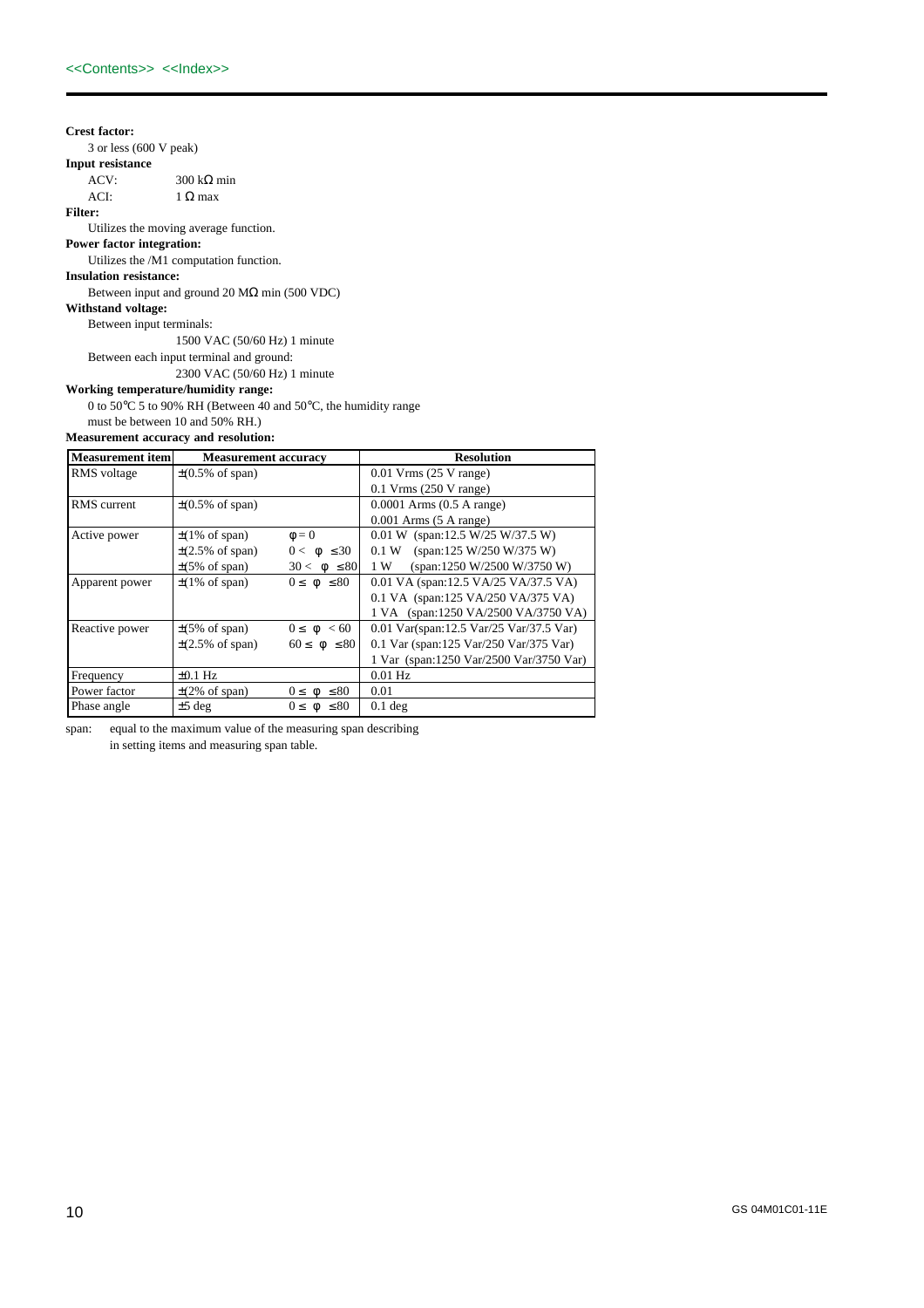## **Crest factor:**

3 or less (600 V peak)

# **Input resistance**

300 kΩ min

## ACI:  $1 \Omega$  max

**Filter:**

## Utilizes the moving average function.

**Power factor integration:** Utilizes the /M1 computation function.

## **Insulation resistance:**

Between input and ground 20 M $\Omega$  min (500 VDC)

### **Withstand voltage:**

Between input terminals:

1500 VAC (50/60 Hz) 1 minute

Between each input terminal and ground:

2300 VAC (50/60 Hz) 1 minute

## **Working temperature/humidity range:**

0 to 50°C 5 to 90% RH (Between 40 and 50°C, the humidity range must be between 10 and 50% RH.)

## **Measurement accuracy and resolution:**

| <b>Measurement</b> item | <b>Measurement accuracy</b>  |                        | <b>Resolution</b>                          |  |  |
|-------------------------|------------------------------|------------------------|--------------------------------------------|--|--|
| RMS voltage             | $\pm(0.5\% \text{ of span})$ |                        | $0.01$ Vrms $(25$ V range)                 |  |  |
|                         |                              |                        | $0.1$ Vrms (250 V range)                   |  |  |
| RMS current             | $\pm(0.5\% \text{ of span})$ |                        | $0.0001$ Arms $(0.5$ A range)              |  |  |
|                         |                              |                        | $0.001$ Arms $(5 \text{ A range})$         |  |  |
| Active power            | $\pm$ (1% of span)           | $\Phi = 0$             | $0.01 \text{ W}$ (span:12.5 W/25 W/37.5 W) |  |  |
|                         | $\pm$ (2.5% of span)         | $0 <  \phi  \leq 30$   | (span:125 W/250 W/375 W)<br>0.1 W          |  |  |
|                         | $\pm(5\% \text{ of span})$   | $30 <  \phi  \leq 80$  | (span:1250 W/2500 W/3750 W)<br>1 W         |  |  |
| Apparent power          | $\pm$ (1% of span)           | $0 \le  \phi  \le 80$  | 0.01 VA (span:12.5 VA/25 VA/37.5 VA)       |  |  |
|                         |                              |                        | 0.1 VA (span:125 VA/250 VA/375 VA)         |  |  |
|                         |                              |                        | 1 VA (span:1250 VA/2500 VA/3750 VA)        |  |  |
| Reactive power          | $\pm(5\% \text{ of span})$   | $0 \le  \phi  < 60$    | 0.01 Var(span:12.5 Var/25 Var/37.5 Var)    |  |  |
|                         | $\pm$ (2.5% of span)         | $60 \le  \phi  \le 80$ | 0.1 Var (span:125 Var/250 Var/375 Var)     |  |  |
|                         |                              |                        | 1 Var (span:1250 Var/2500 Var/3750 Var)    |  |  |
| Frequency               | $\pm 0.1$ Hz                 |                        | $0.01$ Hz                                  |  |  |
| Power factor            | $\pm$ (2% of span)           | $0 \le  \phi  \le 80$  | 0.01                                       |  |  |
| Phase angle             | $±5$ deg                     | $0 \le  \phi  \le 80$  | $0.1$ deg                                  |  |  |

span: equal to the maximum value of the measuring span describing in setting items and measuring span table.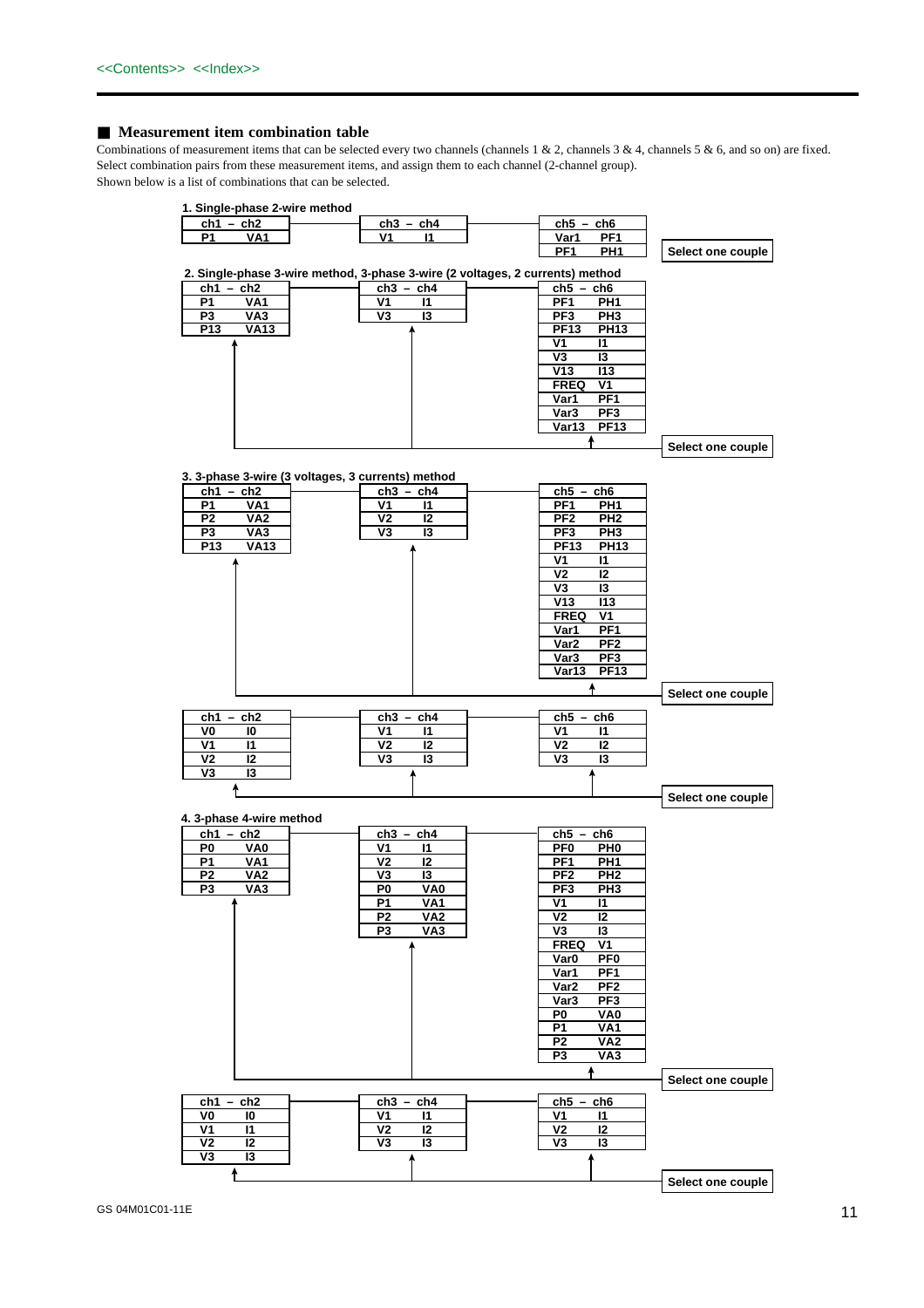## ■ **Measurement item combination table**

Combinations of measurement items that can be selected every two channels (channels 1 & 2, channels 3 & 4, channels 5 & 6, and so on) are fixed. Select combination pairs from these measurement items, and assign them to each channel (2-channel group).

Shown below is a list of combinations that can be selected.

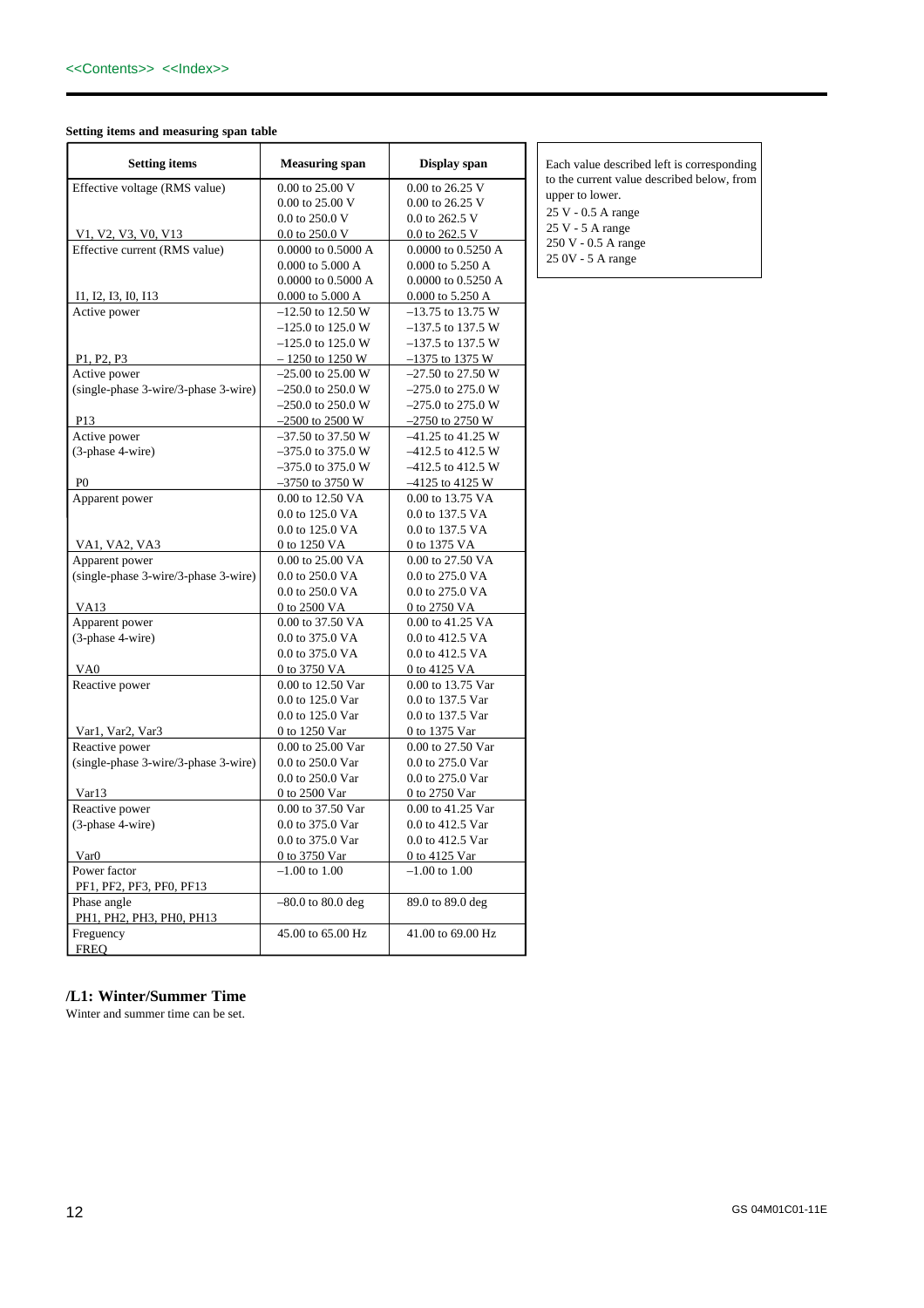## **Setting items and measuring span table**

| <b>Setting items</b>                             | <b>Measuring span</b> | Display span                    |
|--------------------------------------------------|-----------------------|---------------------------------|
| Effective voltage (RMS value)                    | 0.00 to 25.00 V       | 0.00 to 26.25 V                 |
|                                                  | 0.00 to 25.00 V       | 0.00 to 26.25 V                 |
|                                                  | 0.0 to 250.0 V        | 0.0 to 262.5 V                  |
| V1, V2, V3, V0, V13                              | 0.0 to 250.0 V        | 0.0 to 262.5 V                  |
| Effective current (RMS value)                    | 0.0000 to 0.5000 A    | $0.0000$ to $0.5250~\mathrm{A}$ |
|                                                  | 0.000 to 5.000 A      | 0.000 to 5.250 A                |
|                                                  | 0.0000 to 0.5000 A    | 0.0000 to 0.5250 A              |
| I1, I2, I3, I0, I13                              | 0.000 to 5.000 A      | 0.000 to 5.250 A                |
| Active power                                     | $-12.50$ to 12.50 W   | $-13.75$ to 13.75 W             |
|                                                  | $-125.0$ to 125.0 W   | $-137.5$ to 137.5 W             |
|                                                  | $-125.0$ to 125.0 W   | $-137.5$ to 137.5 W             |
| P <sub>1</sub> , P <sub>2</sub> , P <sub>3</sub> | $-1250$ to 1250 W     | $-1375$ to 1375 W               |
| Active power                                     | $-25.00$ to 25.00 W   | $-27.50$ to 27.50 W             |
| (single-phase 3-wire/3-phase 3-wire)             | $-250.0$ to 250.0 W   | $-275.0$ to 275.0 W             |
|                                                  | $-250.0$ to 250.0 W   | $-275.0$ to 275.0 W             |
| P <sub>13</sub>                                  | $-2500$ to 2500 W     | $-2750$ to 2750 W               |
| Active power                                     | $-37.50$ to 37.50 W   | $-41.25$ to $41.25$ W           |
| (3-phase 4-wire)                                 | $-375.0$ to 375.0 W   | $-412.5$ to 412.5 W             |
|                                                  | $-375.0$ to 375.0 W   | $-412.5$ to 412.5 W             |
| P <sub>0</sub>                                   | $-3750$ to 3750 W     | $-4125$ to 4125 W               |
| Apparent power                                   | 0.00 to 12.50 VA      | 0.00 to 13.75 VA                |
|                                                  | 0.0 to 125.0 VA       | 0.0 to 137.5 VA                 |
|                                                  | 0.0 to 125.0 VA       | 0.0 to 137.5 VA                 |
| VA1, VA2, VA3                                    | 0 to 1250 VA          | 0 to 1375 VA                    |
| Apparent power                                   | 0.00 to 25.00 VA      | 0.00 to 27.50 VA                |
| (single-phase 3-wire/3-phase 3-wire)             | 0.0 to 250.0 VA       | 0.0 to 275.0 VA                 |
|                                                  | 0.0 to 250.0 VA       | 0.0 to 275.0 VA                 |
| <b>VA13</b>                                      | 0 to 2500 VA          | 0 to 2750 VA                    |
| Apparent power                                   | 0.00 to 37.50 VA      | 0.00 to 41.25 VA                |
| (3-phase 4-wire)                                 | 0.0 to 375.0 VA       | 0.0 to 412.5 VA                 |
|                                                  | 0.0 to 375.0 VA       | 0.0 to 412.5 VA                 |
| VA0                                              | 0 to 3750 VA          | 0 to 4125 VA                    |
| Reactive power                                   | 0.00 to 12.50 Var     | 0.00 to 13.75 Var               |
|                                                  | 0.0 to 125.0 Var      | 0.0 to 137.5 Var                |
|                                                  | 0.0 to 125.0 Var      | 0.0 to 137.5 Var                |
| Var1, Var2, Var3                                 | 0 to 1250 Var         | 0 to 1375 Var                   |
| Reactive power                                   | 0.00 to 25.00 Var     | 0.00 to 27.50 Var               |
| (single-phase 3-wire/3-phase 3-wire)             | 0.0 to 250.0 Var      | 0.0 to 275.0 Var                |
|                                                  | 0.0 to 250.0 Var      | 0.0 to 275.0 Var                |
| Var13                                            | 0 to 2500 Var         | 0 to 2750 Var                   |
| Reactive power                                   | 0.00 to 37.50 Var     | 0.00 to 41.25 Var               |
| (3-phase 4-wire)                                 | 0.0 to 375.0 Var      | 0.0 to 412.5 Var                |
|                                                  | 0.0 to 375.0 Var      | 0.0 to 412.5 Var                |
| Var0                                             | 0 to 3750 Var         | 0 to 4125 Var                   |
| Power factor                                     | $-1.00$ to $1.00$     | $-1.00$ to $1.00$               |
| PF1, PF2, PF3, PF0, PF13                         |                       |                                 |
| Phase angle<br>PH1, PH2, PH3, PH0, PH13          | $-80.0$ to $80.0$ deg | 89.0 to 89.0 deg                |
| Freguency                                        | 45.00 to 65.00 Hz     | 41.00 to 69.00 Hz               |
| <b>FREQ</b>                                      |                       |                                 |

Each value described left is corresponding to the current value described below, from upper to lower. 25 V - 0.5 A range 25 V - 5 A range 250 V - 0.5 A range 25 0V - 5 A range

## **/L1: Winter/Summer Time**

Winter and summer time can be set.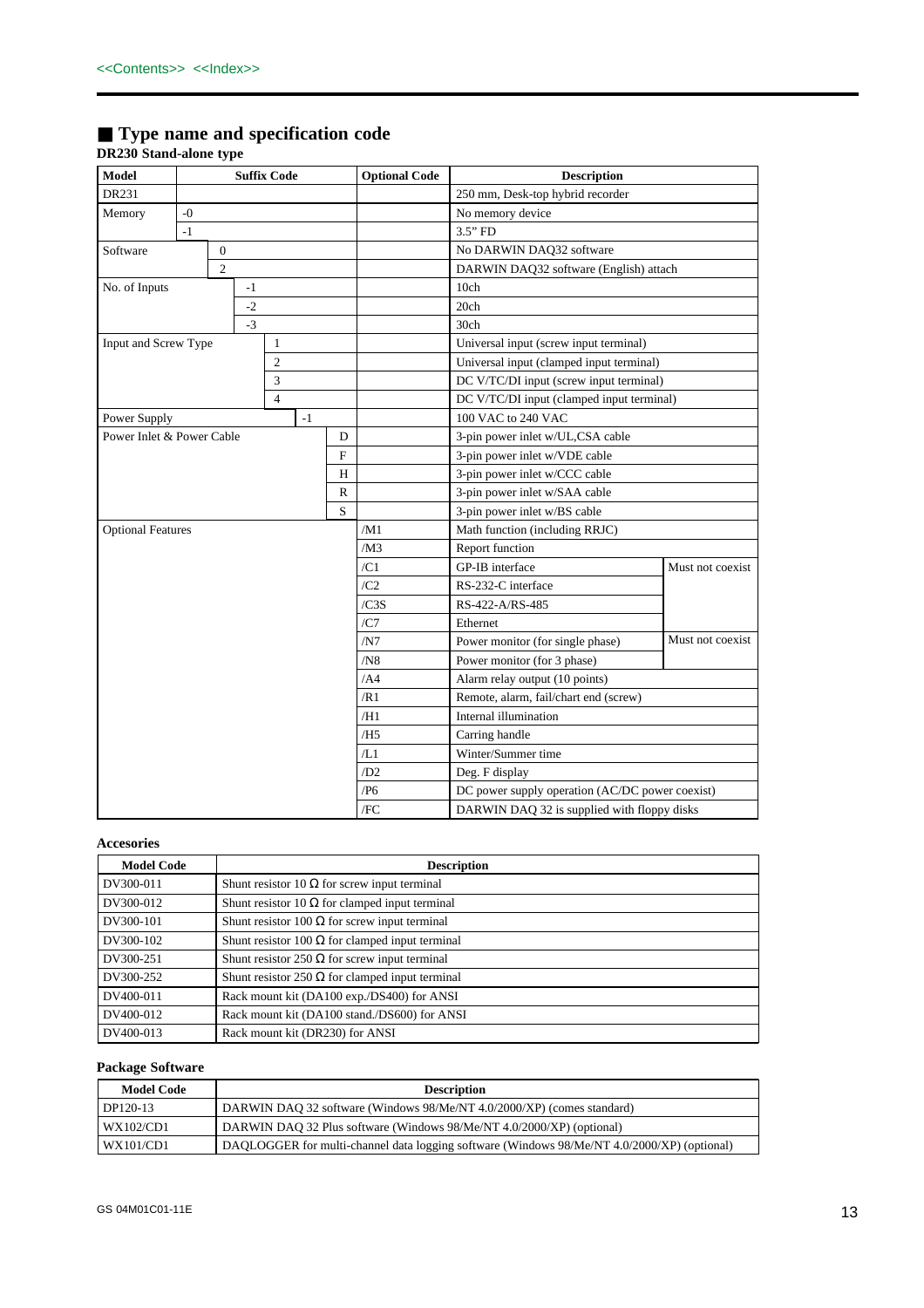## ■ **Type name and specification code**

## **DR230 Stand-alone type**

| Model                     | <b>Suffix Code</b> |                |      |                | <b>Optional Code</b> | <b>Description</b>               |                                       |                                                 |                  |  |
|---------------------------|--------------------|----------------|------|----------------|----------------------|----------------------------------|---------------------------------------|-------------------------------------------------|------------------|--|
| DR231                     |                    |                |      |                |                      | 250 mm, Desk-top hybrid recorder |                                       |                                                 |                  |  |
| Memory                    | $-0$               |                |      |                |                      |                                  |                                       | No memory device                                |                  |  |
|                           | $-1$               |                |      |                |                      |                                  |                                       | $3.5"$ FD                                       |                  |  |
| Software                  |                    | $\overline{0}$ |      |                |                      |                                  |                                       | No DARWIN DAQ32 software                        |                  |  |
|                           |                    | $\overline{c}$ |      |                |                      |                                  |                                       | DARWIN DAQ32 software (English) attach          |                  |  |
| No. of Inputs             |                    |                | $-1$ |                |                      |                                  |                                       | 10ch                                            |                  |  |
|                           |                    |                | $-2$ |                |                      |                                  |                                       | 20ch                                            |                  |  |
|                           |                    |                | $-3$ |                |                      |                                  |                                       | 30ch                                            |                  |  |
| Input and Screw Type      |                    |                |      | $\mathbf{1}$   |                      |                                  |                                       | Universal input (screw input terminal)          |                  |  |
|                           |                    |                |      | 2              |                      |                                  |                                       | Universal input (clamped input terminal)        |                  |  |
|                           |                    |                |      | 3              |                      |                                  |                                       | DC V/TC/DI input (screw input terminal)         |                  |  |
|                           |                    |                |      | $\overline{4}$ |                      |                                  |                                       | DC V/TC/DI input (clamped input terminal)       |                  |  |
| Power Supply              |                    |                |      |                | $-1$                 |                                  |                                       | 100 VAC to 240 VAC                              |                  |  |
| Power Inlet & Power Cable |                    |                |      |                |                      | D                                |                                       | 3-pin power inlet w/UL,CSA cable                |                  |  |
|                           |                    |                |      |                |                      | F                                |                                       | 3-pin power inlet w/VDE cable                   |                  |  |
|                           |                    |                |      |                |                      | H                                |                                       | 3-pin power inlet w/CCC cable                   |                  |  |
|                           |                    |                |      |                |                      | R                                |                                       | 3-pin power inlet w/SAA cable                   |                  |  |
|                           |                    |                |      |                |                      | S                                |                                       | 3-pin power inlet w/BS cable                    |                  |  |
| <b>Optional Features</b>  |                    |                |      |                |                      |                                  | /M1                                   | Math function (including RRJC)                  |                  |  |
|                           |                    |                |      |                |                      |                                  | /M3                                   | Report function                                 |                  |  |
|                           |                    |                |      |                |                      |                                  | /C1                                   | GP-IB interface                                 | Must not coexist |  |
|                           |                    |                |      |                |                      |                                  | /C2                                   | RS-232-C interface                              |                  |  |
|                           |                    |                |      |                |                      |                                  | /CSS                                  | RS-422-A/RS-485                                 |                  |  |
|                           |                    |                |      |                |                      |                                  | /CI                                   | Ethernet                                        |                  |  |
|                           |                    |                |      |                |                      |                                  | /N7                                   | Power monitor (for single phase)                | Must not coexist |  |
|                           |                    |                |      |                |                      |                                  | /N8                                   | Power monitor (for 3 phase)                     |                  |  |
|                           |                    |                |      |                |                      |                                  | /AA                                   | Alarm relay output (10 points)                  |                  |  |
|                           |                    |                |      |                |                      | /R1                              | Remote, alarm, fail/chart end (screw) |                                                 |                  |  |
|                           |                    |                |      |                |                      | /H1                              | Internal illumination                 |                                                 |                  |  |
|                           |                    |                |      |                |                      |                                  | /H <sub>5</sub>                       | Carring handle                                  |                  |  |
|                           |                    |                |      |                |                      |                                  | /L1                                   | Winter/Summer time                              |                  |  |
|                           |                    |                |      |                |                      |                                  | /D2                                   | Deg. F display                                  |                  |  |
|                           |                    |                |      |                |                      |                                  | /P6                                   | DC power supply operation (AC/DC power coexist) |                  |  |
|                           |                    |                |      |                |                      |                                  | /FC                                   | DARWIN DAQ 32 is supplied with floppy disks     |                  |  |

## **Accesories**

| <b>Model Code</b> | <b>Description</b>                                     |
|-------------------|--------------------------------------------------------|
| DV300-011         | Shunt resistor 10 $\Omega$ for screw input terminal    |
| DV300-012         | Shunt resistor 10 $\Omega$ for clamped input terminal  |
| DV300-101         | Shunt resistor 100 $\Omega$ for screw input terminal   |
| DV300-102         | Shunt resistor 100 $\Omega$ for clamped input terminal |
| DV300-251         | Shunt resistor 250 $\Omega$ for screw input terminal   |
| DV300-252         | Shunt resistor 250 $\Omega$ for clamped input terminal |
| DV400-011         | Rack mount kit (DA100 exp./DS400) for ANSI             |
| DV400-012         | Rack mount kit (DA100 stand./DS600) for ANSI           |
| DV400-013         | Rack mount kit (DR230) for ANSI                        |

## **Package Software**

| <b>Model Code</b>                   | <b>Description</b>                                                                          |
|-------------------------------------|---------------------------------------------------------------------------------------------|
| $DP120-13$                          | DARWIN DAO 32 software (Windows 98/Me/NT 4.0/2000/XP) (comes standard)                      |
| $\frac{1}{\text{WX}}102/\text{CD}1$ | DARWIN DAO 32 Plus software (Windows 98/Me/NT 4.0/2000/XP) (optional)                       |
| $\frac{1}{\text{WX}}101/\text{CD}1$ | DAQLOGGER for multi-channel data logging software (Windows 98/Me/NT 4.0/2000/XP) (optional) |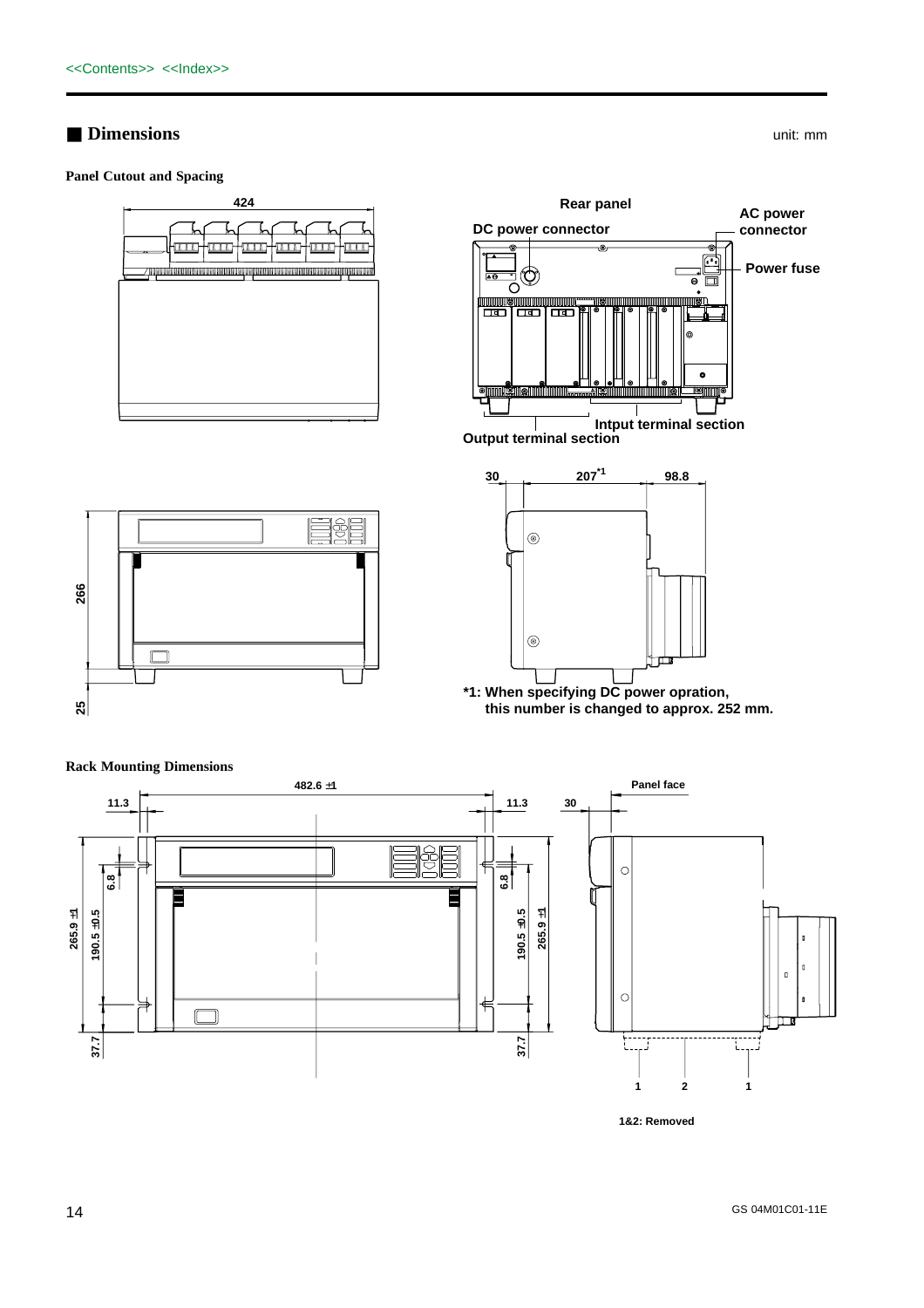## ■ **Dimensions** unit: mm

**Panel Cutout and Spacing**















**1&2: Removed**